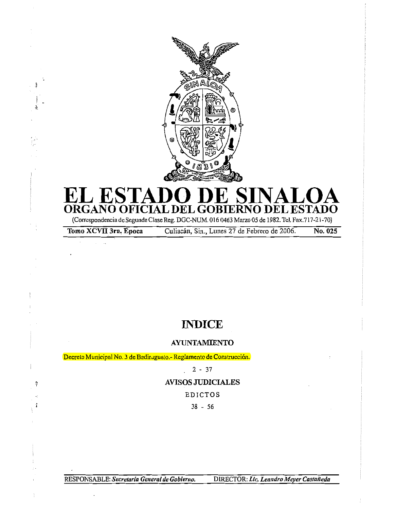

# **EL ESTADO DE SINALOA ORGANO OFICIAL DEL GOBIERNO DEL ESTADO**

(Correspondencia de Segunda Clase Reg. DGC-NUM. 016 0463 Marzo 05 de 1982. Tel. Fax.717-21-70)

ş

-1

Tomo XCVII 3ra. Epoca Culiacán, Sin., Lunes 27 de Febrero de 2006. No. 025

# **INDICE**

# **AYUNTAMIENTO**

Decreto Municipal No. 3 de Badir aguato.- Reglamento de Construcción.

2 - 37

# AVISOS JUDICIALES

EDICTOS

38 - 56

RESPONSABLE: *Secretaria General de Gobierno.* DIRECTOR: Lic. Leandro Meyer Castañeda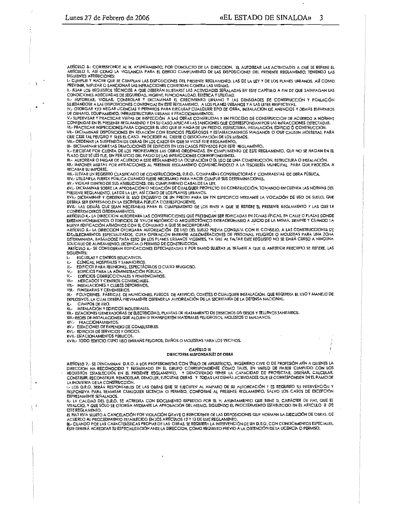$\ddot{\cdot}$ 

 $\mathcal{V}$ 

ARTÍCULO 3.- CORRESPONDE AL H. AYUNTAMIENTO, POR CONDUCTO DE LA DIRECCION. EL AUTORIZAR LAS ACTIVIDADES A QUE SE REFIERE EL ARTÍCULO I, ASÍ COMO LA VIGILANCIA PARA EL DEBIDO CUMPUMIENTO DE LAS DISPOSICIÓNES DEL PRESENTE REGLAMENTO, TENIENDO LAS SIGUIENTES ATRIBUCIONES:

I.- CUMPLIR Y HACER QUE SE CUMPLAN LAS DISPOSICIONES DEL PRESENTE REGLAMENTO, LAS DE LA LEY Y DE LOS PLANES URBANOS, ASÍ COMO PREVENIR, IMPUTAR O SANCIONAR LAS INFRACCIONES COMETIDAS CONTRA LAS MISMAS,

II.- FIJAR LOS REQUISITOS TÉCNICOS A QUE DEBERÁN SUJETARSE LAS ACTIVIDADES SEÑALADAS EN ESTE CAPÍTULO A FIN DE QUE SATISFAGAN LAS

" HAT ROOMS ADECUADAS DE SEGURIDAD, HIGIENE, FUNCIONAUDAD, ESTÉTICA Y UTILIDAD.<br>"II.- AUTORIZAR, VIGILAR, CONTROLAR Y DICTAMINAR EL CRECIMIENTO URBANO Y LAS DENSIDADES DE CONSTRUCCIÓN Y POBLACIÓN<br>SUJETÁNDOSE A LAS DISPOSIC IV. OTORGAR Y/O NEGAR LICENCIAS Y PERMISOS PARA EJECUTAR CUALQUIER TIPO DE OBRA, INSTALACIÓN DE ANUNCIOS Y DEMÁS ELEMENTOS

DE ORNATO, EQUIPAMIENTO, INFRAESTRUCTURA URBANA Y FRACCIONAMIENTOS.<br>V.- SUPERVISAR Y PRACTICAR VISITAS DE INSPECCIÓN A LAS OBRAS CONSTRUIDAS Y EN PROCESO DE CONSTRUCCIÓN DE ACUERDO A NORMAS<br>CONTENIDAS EN EL PRESENTE REGLAM

VI.- PRACTICAR INSPECCIONES PARA CONOCER EL USO QUE SE HAGA DE UN PREDIO, ESTRUCTURA, INSTALACIÓN, EDIRCIO Ó CONSTRUCCIÓN.

VII.- DICTAMINAR DISPOSICIONES EN RELACIÓN CON EDIFICIOS PELIGROSOS Y ESTABLECIMIENTOS MALSANOS O QUE CAUSEN MOLESTIAS, PARA<br>QUE CESE TAL PEUGRO Y SI ES EL CASO, PROCEDER AL CIERRE O DESOCUPACIÓN DE LOS MISMOS.<br>VIII.- ORDE

IX- DICTAMINAR SOBRE LAS DEMOLICIONES DE EDIFICIOS EN LOS CASOS PREVISTOS POR ESTE REGLAMENTO.

A DE CONTROLLER POR CUENTA DE LOS PROPIETARIOS LAS OBRAS ORDENADAS, EN CUMPLIMIENTO DE ESTE REGLAMENTO, QUE NO SE HAGAN EN EL<br>PLAZO QUE SE LES FIJE, SIN PERJUICIO DEL PAGO DE LAS INFRACCIONES CORRESPONDIENTES.<br>XI.- AUTORIZ

XII.- IMPONER MULTAS POR INFRACCIONES AL PRESENTE REGLAMENTO COMUNICÁNDOLO A LA TESORERÍA MUNICIPAL PARA QUE PROCEDA A RECARAR SILIMPORTE

XIII- LLEVAR UN REGISTRO CLASIFICADO DE CONSTRUCCIONES, D.R.O., COMPAÑÍAS CONSTRUCTORAS Y, CONTRATISTAS, DE OBRA PÚBLICA XIV.- UTILIZAR LA FUERZA PÚBLICA CUANDO FUERE NECESARIO PARA HACER CUMPLIR SUS DETERMINACIONES.

XV.- VIGILAR DENTRO DE SUS ATRIBUCIONES, DEL CUMPLIMIENTO CABAL DE LA LEY.

XVI.- DICTAMINAR SOBRE LA APROBACIÓN O NEGACIÓN DE CUALQUIER PROYECTO DE CONSTRUCCIÓN, TOMANDO EN CUENTA LAS NORMAS DEL<br>PRESENTE REGLAMENTO, LAS DE LA LEY, ASÍ COMO DE LOS PLANES URBANOS.

XVII.- DICTAMINAR Y ORDENAR EL USO EXCLUSIVO DE UN PREDIO PARA UN FIN ESPECIFICO MEDIANTE LA VOCACIÓN DE USO DE SUELO, QUE DEBERÁ SER EXPRESADO EN LA ESCRITURA PÚBUCA CORRESPONDIENTE.

XVIII.- LAS DEMÁS QUE SEAN NECESARIAS PARA EL CUMPLIMIENTO DE LOS FINES A QUE SE REFIERE EL PRESENTE REGLAMENTO Y LAS QUE LE CONFIEREN OTROS ORDENAMIENTOS.

ARIÍCULO 4,- LA DIRECCION AUTORIZARÁ LAS CONSTRUCCIONES QUE PRETENDAN SER EDIFICADAS EN ZONAS TÍPICAS, EN CALLE O PLAZAS DONDE EXISTAN MONUMENTOS O EDIFICIOS DE VALOR HISTÓRICO O ARQUITECTÓNICO EXTRAORDINARIO A JUICIO DE LA MISMA, SIEMPRE Y CUANDO LA<br>NUEVA EDIFICACIÓN ARMONICE CON EL CONJUNTO A QUE SE INCORPORARÁ.<br>ARTÍCULO 5.- LA DIRECCION OTORGAR

ESTABLECIMIENTOS ESPECIALIZADOS, CUYA OPERACIÓN ENTRAÑE AGLOMERACIONES DE PERSONAS, PELIGROS O MOLESTIAS PARA UNA ZONA DETERMINADA, BASÁNDOSE PARA ESTO EN LOS PLANES URBANOS VIGENTES, YA QUE AL FALTAR ESTE REQUISITO NO SE DARÁ CURSO A NINGUNA

ARTÍCULO 4.- SE CONSIDERAN EDIFICACIONES ESPECIALIZADAS Y POR TANTO SUJETAS AL TRÁMITE A QUE EL ANTERIOR PRECEPTO SE REFIERE. LAS SIGUIENTES:

**ESCUELAS Y CENTROS EDUCATIVOS**  $\mathbf{t}$ 

CUNICAS, HOSPITALES Y SANATORIOS

EDIFICIOS PARA REUNIONES, ESPECTÁCULOS O CULTO RELIGIOSO. II.-

 $IV.$ EDIFICIOS PARA LA ADMINISTRACIÓN PÚBLICA

v. EDIFICIOS CORRECCIONALES Y PENITENCIARIOS. MERCADOS Y CENTROS COMERCIALES.

VI-INSTALACIONES Y CLUBES DEPORTIVOS.

VII.-

VIII. – FUNERARIAS Y CEMENTERIOS.<br>IX.- POLVORINES, FÁBRICAS DE MUNICIONES, FUEGOS DE ARTIFICIO, COHETES O CUALQUIER INSTALACIÓN, QUE REQUIERA EL USO Y MANEJO DE EXPLOSIVOS, LA CUAL DEBERÁ PREVIAMENTE OBTENER LA AUTORIZACIÓN DE LA SECRETARÍA DE LA DEFENSA NACIONAL

CAMPOS DE TIRO.  $x -$ 

XI.- INSTALACIÓN Y EDIFICIOS INDUSTRIALES.<br>XII.- ESTACIONES GENERADORAS DE ELECTRICIDAD, PLANTAS DE TRATAMIENTO DE DESECHOS DIVERSOS Y RELLENOS SANITARIOS

XIII.- REDES DE INSTALACIONES QUE ALOJEN O TRANSPORTEN MATERIALES PELIGROSOS, MOLESTOS O MALSANOS.

XIV.- FRACCIONAMIENTOS.<br>XV.- ESTACIONES DE EXPENDIO DE COMBUSTIBLES.

XVI.- EDIFICIOS DE SERVICIOS Y OFICIOS.

XVII - ESTACIONAMIENTOS PÚBLICOS.

XVIII.- TODO EDIFICIO CUYO USO ENTRAÑE PEUGROS, DAÑOS O MOLESTIAS PARA LOS VECINOS.

#### CAPÍTULO III DIRECTORES RESPONSABLES DE OBRA

ARTÍCULO 7.- SE DENOMINAN D.R.O. A LOS PROFESIONISTAS CON TÍTULO DE ARQUITECTO, INGENIERO CIVIL O DE PROFESIÓN AFÍN A QUIENES LA CONSIDER THE ENTERTWATE WILL A RECURRENCE IN THE GRUPO CORRESPONDIENTE COMO TALES. EN VIRTUD DE HABER CUMPLIDO CON LOS<br>DIRECCION HA RECONOCIDO Y REGISTRADO EN EL GRUPO CORRESPONDIENTE COMO TALES. EN VIRTUD DE HABER CUMPLID CONSTRUIR, RECONSTRUIR, REMODELAR, DEMOLER, EJECUTAR OBRAS Y TODAS LAS DEMÁS ACTIVIDADES QUE LE CORRESPONDEN EN EL RAMO DE LA INDUSTRIA DE LA CONSTRUCCIÓN.

I.- LOS D.R.O. SERÁN RESPONSABLES DE LAS OBRAS QUE SE EJECUTEN AL AMPARO DE SU AUTORIZACIÓN Y ES REQUISITO SU INTERVENCIÓN Y RESPONSIVA PARA TRAMITAR CUALQUIER LICENCIA O PERMISO, CONFORME AL PRESENTE REGLAMENTO, SALVO LOS CASOS DE EXCEPCIÓN

II.- LA CALIDAD DEL D.R.O. SE ACREDITA CON DOCUMENTO EXPEDIDO POR EL H. AYUNTAMIENTO QUE TIENE EL CARÁCTER DE FIAT, QUE ES VITALICIO, Y QUE SÓLO SE OTORGA MEDIANTE LA APROBACIÓN DEL MISMO, SIGUIENDO EL PROCEDIMIENTO ESTABLECIDO EN EL ARTICULO 8 DE ESTE REGLAMENTO.

EL FIAT ESTÁ SUJETO A CANCELACIÓN POR VIOLACIÓN GRAVE O REINCIDENTE DE LAS DISPOSICIONES QUE NORMAN LA EJECUCIÓN DE OBRAS, DE ACUERDO AL PROCEDIMIENTO ESTABLECIDO EN LOS ARTÍCULOS 12 Y 13 DE ESTE REGLAMENTO.<br>III.- CUANDO POR LAS CARACTERÍSTICAS PROPIAS DE LAS OBRAS, SE REQUIERA LA INTERVENCIÓN DE UN D.R.O. CON CONOCIMIENTOS ESPECIALES.

ESTE DEBERÁ ACREDITAR SU ESPECIALIZACIÓN ANTE LA DIRECCION, COMO REQUISITO PREVIO A LA OBTENCIÓN DE LA LICENCIA O PERMISO.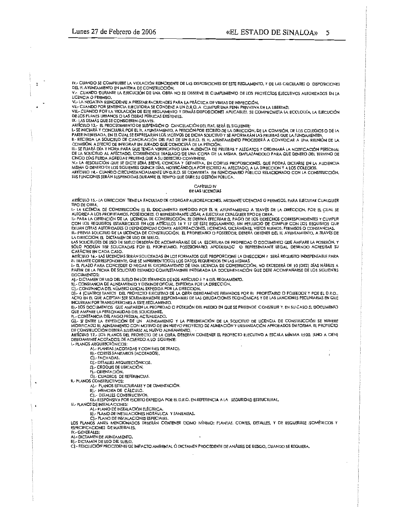IV.- CUANDO SE COMPRUEBE LA VIOLACIÓN REINCIDENTE DE LAS DISPOSICIONES DE ESTE REGLAMENTO, Y DE LAS CIRCULARES O DISPOSICIONES DEL H. AYUNTAMIENTO EN MATERIA DE CONSTRUCCIÓN.

V. CUANDO DURANTE LA EJECUCIÓN DE UNA OBRA NO SE OBSERVE EL CUMPLIMIENTO DE LOS PROYECTOS EJECUTIVOS AUTORIZADOS EN LA LICENCIA O PERMISO.

VI.- LA NEGATIVA REINCIDENTE A PRESTAR FACIUDADES PARA LA PRÁCTICA DE VISITAS DE INSPECCIÓN.

VII. CUANDO POR SENTENCIA EJECUTORIA SE CONDENE A UN D.R.O. A CUMPUR UNA PENA PRIVATIVA DE LA LIBERTAD.<br>VIII.- CUANDO POR LA VIOLACIÓN DE ESTE REGLAMENTO Y DEMÁS DISPOSICIONES APUCABLES, SE COMPROMETA LA ECOLOGÍA, LA EJECU DE LOS PLANES URBANOS O LAS OBRAS PÚBUCAS EXISTENTES.

 $\mathbf{r}$ 

DE CONTRADORATO O CONSIDEREN GRAVES.<br>1999 - LAS DEMÁS QUE SE CONSIDEREN GRAVES.<br>1- LAS DEMÁS QUE SE CONSIDEREN GRAVES.<br>1- SE INICIARÁ Y CONCLUIRÁ POR EL H. AYUNTAMIENTO, A PETICIÓN POR ESCRITO DE LA DIRECCIÓN, DE LA COMISI II.- RECIBIDA LA SOLICITUD DE CANCELACIÓN DEL FIAT DE UN D.R.O. EL H. AYUNTAMIENTO PROCEDERÁ A CONVOCAR A UNA REUNIÓN DE LA

COMBIÓN, A EFECTO DE INTEGRAR UN JURADO QUE CONOCERÁ DE LA PETICIÓN,<br>III.- SE FIJARÁ DÍA Y HORA PARA QUE TENGA VERIFICATIVO UNA AUDIENCIA DE PRUEBAS Y ALEGATOS Y ORDENARÁ LA NOTIFICACIÓN PERSONAL<br>DE LA SOLICITUD AL AFECTAD

DE LA SOLICITION AL AFFECTADO, CORRENDO E INSTADIO DE UNA COPIA DE LA MISMA. EMPLAZANDOLO PARA QUE DENTRO DEL TERMINO DE<br>CINCO DÍAS PUEDA AGREGAR PRUEBAS QUE A SU DERECHO CONVINERE.<br>IV.- LA RESOLUCIÓN QUE SE DICTE SERÁ BRE

SUS FUNCIONES SERÁN SUSPENDIDAS DURANTE EL TIEMPO QUE DURE SU GESTIÓN PÚBLICA.

#### CAPÍTULO IV **DE LAS LICENCIAS**

ARTÍCULO 15.- LA DIRECCION TIENE LA FACULTAD DE OTORGAR AUTORIZACIONES, MEDIANTE UCENCIAS O PERMISOS, PARA EJECUTAR CUALQUIER **TIPO DE OBRA.** 

I.- LA LICENCIA DE CONSTRUCCIÓN ES EL DOCUMENTO EXPEDIDO POR EL H. AYUNTAMIENTO A TRAVÉS DE LA DIRECCION, POR EL CUAL SE

I.- LA ULCENCIA DE CONSIRUOS, POSEEDORES O DRERESENTANTE LEGAL A EJECULAR EL ULCENCIA QUER TIPO DE OBRA.<br>AUTORIZA A LOS PROPIETARIOS, POSEEDORES, O REPRESENTANTE LEGAL A EJECULAR EL PAGO DE LOS DERECHOS CORRESPONDIENTES Y III.- PREVIA SOLICITUD DE LA LICENCIA DE CONSTRUCCIÓN, EL PROPIETARIO O POSEEDOR, DEBERÁ OBTENER DEL H. AYUNTAMIENTO, A TRAVÉS DE LA DIRECCION, EL DICTAMEN DE USO DE SUELO.

LAS SOLICITUDES DE USO DE SUELO DEBERÁN DE ACOMPAÑARSE DE LA ESCRITURA DE PROPIEDAD O DOCUMENTO QUE AMPARE LA POSESIÓN, Y SÓLO PODRÁN SER SOLICITADAS POR EL PROPIETARIO, POSESIONARIO, APODERADO O REPRESENTANTE LEGAL DEBIENDO ACREDITAR SU CARÁCTER EN CADA CASO.

ARTÍCULO 16.- LAS LICENCIAS SERÁN SOLICITADAS EN LOS FORMATOS QUE PROPORCIONE LA DIRECCION Y SERÁ REQUISITO INDISPENSABLE PARA<br>EL TRÁMITE CORRESPONDIENTE, QUE SE MINISTREN TODOS LOS DATOS REQUERIDOS EN LAS MISMAS.<br>I.- EL P

PARTIR DE LA FECHA DE SOLICITUD ESTANDO COMPLETAMENTE INTEGRADA LA DOCUMENTACIÓN QUE DEBE ACOMPAÑARSE DE LOS SIGUIENTES DOCUMENTOS:

AI - DICTAMEN DE USO DEL SUELO EN LOS TÉRMINOS DE LOS ARTÍCULO S Y 6 DEL REGLAMENTO.

B).- CONSTANCIA DE ALINEAMIENTO Y DESLINDE OFICIAL, EXPEDIDA POR LA DIRECCION. C) .- CONSTANCIA DEL NÚMERO OFICIAL EXPEDIDA POR LA DIRECCION.

D). 4 (CUATRO) TANTOS DEL PROYECTO EJECUTIVO DE LA OBRA DEBIDAMENTE FIRMADOS POR EL PROPIETARIO O POSEEDOR Y POR EL D.R.O.,<br>ACTO EN EL QUE ACEPTAN SER SOLIDARIAMENTE RESPONSABLES DE LAS OBUGACIONES ECONÓMICAS Y DE LAS SANC INCURRAN POR TRANSGRESIONES A ESTE REGLAMENTO.

E}- LOS DOCUMENTOS QUE AMPAREN LA PROPIEDAD O POSESIÓN DEL PREDIO EN QUE SE PRETENDE CONSTRUIR Y, EN SU CASO EL DOCUMENTO<br>QUE AMPARE LA PERSONALIDAD DEL SOLICITANTE.

FJ.- CONSTANCIA DEL PAGO PREDIAL ACTUALIZADO.

")."<br>C.J.- SI ENTRE LA EXPEDICIÓN DE UN ALINEAMIENTO Y LA PRESENTACIÓN DE LA SOLICITUD DE LICENCIA DE CONSTRUCCIÓN SE HUBIERE<br>MODIFICADO EL ALINEAMIENTO CON MOTIVO DE UN NUEVO PROYECTO DE ALINEACIÓN Y URBANIZACIÓN APROBADO

ARTÍCULO 17.- LOS PLANOS DEL PROYECTO DE LA OBRA, DEBERÁN CONTENER EL PROYECTO EJECUTIVO A ESCALA MÍNIMA 1:100, (UNO A CIEN) DEBIDAMENTE ACOTADOS; DE ACUERDO A LO SIGUIENTE:<br>L- PLANOS ARQUITECTÓNICOS:

ARQUIECTONICOS.<br>AJ.- PLANTAS (ACOTADAS Y CON EJES DE TRAZO).<br>B).- CORTES SANITARIOS (ACOTADOS).

C) .- FACHADAS.

DJ .- DETALLES ARQUITECTÓNICOS.

E).- CROOUIS DE UBICACIÓN.

FI .- ORIENTACIÓN.

G) - CUADROS DE REFERENCIAS.<br>II - PLANOS CONSIRUCTIVOS:

A) .- PLANOS ESTRUCTURALES Y DE CIMENTACIÓN.

B] .- MEMORIA DE CÁLCULO.

C] - DETALLES CONSTRUCTIVOS.<br>D] - RESPONSIVA POR ESCRITO EXPEDIDA POR EL D.R.O. EN REFERENCIA A LA SEGURIDAD ESTRUCTURAL.

III.- PLANOS DE INSTALACIONES:

A) .- PLANO DE INSTALACIÓN ELÉCTRICA

B). PLANO DE INSTALACIONES HIDRÁULICA Y SANITARIAS.<br>E). PLANO DE INSTALACIONES ESPECIALES.<br>C). PLANO DE INSTALACIONES ESPECIALES.

LOS PLANOS ANTES MENCIONADOS DEBERÁN CONTENER COMO MÍNIMO: PLANTAS, CORTES, DETALLES, Y DE REQUERIRSE ISOMETRICOS Y ESPECIFICACIONES DE MATERIALES.

IV - GENERALES:

A) - DICTAMEN DE AUNEAMIENTO.

B) - DICTAMEN DE USO DEL SUELO.

C) - RESOLUCIÓN PROCEDENTE DE IMPACTO AMBIENTAL O DICTAMEN PROCEDENTE DE ANÁUSIS DE RIESGO, CUANDO SE REQUIERA.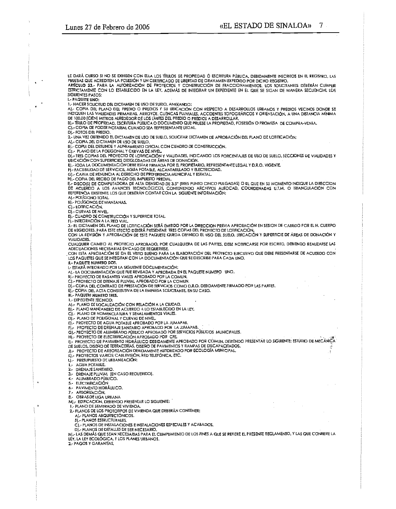LE DARÀ CURSO SI NO SE EXHIBEN CON ELLA LOS TÍTULOS DE PROPIEDAD Ó ESCRITURA PÚBLICA, DEBIDAMENTE INSCRITOS EN EL REGISTRO, LAS<br>PRUEBAS QUE ACREDITEN LA POSESIÓN Y UN CERTIFICADO DE LIBERTAD DE GRAVAMEN EXPEDIDO POR DICHO

ESTRICTAMENTE CON LO ESTABLECIDO EN LA LEY, ADEMÁS DE INTEGRAR UN EXPEDIENTE EN EL QUE SE SIGAN DE MANERA SECUENCIAL LOS **SIGUIFNTES PASOS: I.- PAQUETE UNO:** 

1.- HACER SOLICITUD DEL DICTAMEN DE USO DE SUELO, ANEXANDO:

A] - COPIA DEL PLANO DEL PREDIO O PREDIOS Y SU UBICACIÓN CON RESPECTO A DESARROLLOS URBANOS Y PREDIOS VECINOS DONDE SE THE INDIQUENTERS VIALIDADES PRIMARIAS. ARROYOS, CUENCAS PLUVIALES, ACCIDENTES TOPOGRÁFICOS Y ORIENTACIÓN, A UNA DISTANCIA MÍNIMA<br>DE 100,00 (CIEN) MÉTROS ALREDEDOR DE LOS LÍMITES DEL PREDIO O PREDIOS A DESARROLLAR.<br>B).- TÍT

C). COPIA DE PODER NOTARIAL CUANDO SEA REPRESENTANTE LEGAL.

D) .- FOTOS DEL PREDIO

2- UNA VEZ OBTENIDO EL DICTAMEN DE USO DE SUELO, SOLICITAR DICTAMEN DE APROBACIÓN DEL PLANO DE LOTIFICACIÓN:<br>A) - COPIA DEL DICTAMEN DE USO DE SUELO.

BI - COPIA DEL DESLINDE Y ALINEAMIENTO OFICIAL CON CUADRO DE CONSTRUCCIÓN.

DI- TRAND DE LA POLIGONAL Y CURVAS DE NIVEL<br>DI- TRES COPIAS DEL PROYECTO DE LOTIFICACIÓN Y VIALIDADES, INDICANDO LOS PORCENTAJES DE USO DE SUELO, SECCIONES DE VIALIDADES Y<br>DI- TRES COPIAS DEL PROYECTO DE LOTIFICACIÓN Y VIA

FI .- FACTIBIUDAD DE SERVICIOS, AGUA POTABLE, ALCANTARILLADO Y ELECTRICIDAD.

G) - CARTA DE RENUNCIA AL DERECHO DE PREFERENCIA MUNICIPAL Y ESTATAL.<br>H) - COPIA DEL RECIBO DE PAGO DEL IMPUESTO PREDIAL.

1).- DISCO(S) DE COMPUTADORA DE ALTA DENSIDAD DE 3.5" (TRES PUNTO CINCO PULGADAS) O EL QUE EN SU MOMENTO INDIQUE LA DIRECCION DE ACUERDO A LOS AVANCES TECNOLÓGICOS, CONTENIENDO ARCHIVOS AUTOCAD, COORDENADAS U.T.M. O TRIANGULACIÓN CON REFERENCIA EXISTENTE, LOS QUE DEBERÁN CONTAR CON LA SIGUIENTE INFORMACIÓN:

AI .- POLIGONO TOTAL B) .- POLIGONOS DE MANZANAS,

C) .- LOTIFIC ACIÓN,

DI .- CURVAS DE NIVEL

EL- CUADRO DE CONSTRUCCIÓN Y SUPERFICIE TOTAL

F) .- INTEGRACIÓN A LA RED VIAL

3.- EL DICTAMEN DEL PLANO DE LOTIFICACIÓN SERÁ EMITIDO POR LA DIRECCION PREVIA APROBACIÓN EN SESION DE CABILDO POR EL H. CUERPO<br>DE REGIDORES, PARA ESTE EFECTO DEBERÁ PRESENTAR TRES COPIAS DEL PROYECTO DE LOTIFICACIÓN. CON LA REVISIÓN Y APROBACIÓN DE ESTE PAQUETE QUEDA DEFINIDO EL USO DEL SUELO, UBICACIÓN Y SUPERFICIE DE ÁREAS DE DONACIÓN Y

VIALIDADES. CUALQUIER CAMBIO AL PROYECTO APROBADO, POR CUALQUIERA DE LAS PARTES, DEBE NOTIFICARSE POR ESCRITO, DEBIENDO REALIZARSE LAS

ADECUACIONES NECESARIAS EN CASO DE REQUERIRSE. CON ESTA APROBACIÓN SE DA EL VISTO BUENO PARA LA ELABORACIÓN DEL PROYECTO EJECUTIVO QUE DEBE PRESENTARSE DE ACUERDO CON

LOS PAQUETES QUE SE INTEGRAN CON LA DOCUMENTACIÓN QUE SE DESCRIBE PARA CADA UNO.

**IL - PAQUETE NUMERO DOS.** 

I .- ESTARÁ INTEGRADO POR LA SIGUIENTE DOCUMENTACIÓN:

A) - LA DOCUMENTACIÓN QUE FUE REVISADA Y APROBADA EN EL PAQUETE NUMERO UNO.

BJ.- PROYECTO DE RASANTES VIALES APROBADO POR LA COMUN.

C] - PROYECTO DE DRENAJE PLUVIAL APROBADO POR LA COMUN.<br>D] - COPIA DEL CONTRATO DE PRESTACIÓN DE SERVICIOS COMO D.R.O. DEBIDAMENTE FIRMADO POR LAS PARTES.

EJ-COPIA DEL ACTA CONSTITUTIVA DE LA EMPRESA SOLICITANTE, EN SU CASO.

III. - PAQUETE NUMERO TRES.

I. - EXPEDIENTE TÉCNICO:<br>A) - PLANO DE LOCALIZACIÓN CON RELACIÓN A LA CIUDAD.<br>BJ - PLANO MANZANERO DE ACUERDO A LO ESTABLECIDO EN LA LEY.

C) - PLANO DE NOMENCLATURA Y SENALAMIENTOS VIALES.<br>D) - PLANO DE POLIGONAL Y CURVAS DE NIVEL.

E). PROYECTO DE AGUA POTABLE APROBADO POR LA JUMAPAB.

FI- PROYECTO DE DRENAJE SANITARIO APROBADO POR LA JUMAPAB.

11- PROYECTO DE ALUMBRADO PÚBLICO APROBADO POR SERVICIOS PÚBLICOS MUNICIPALES.<br>H) - PROYECTO DE ELECTRIFICACIÓN APROBADO POR CFE.<br>I) - PROYECTO DE PAVIMENTO HIDRÁULICO DEBIDAMENTE APROBADO POR COMUN, DEBIENDO PRESENTAR LO DE SUELOS, DISEÑO DE TERRACERÍAS, DISEÑO DE PAVIMENTOS Y RAMPAS DE DISCAPACITADOS.

THE PROYECTO DE ARBORIZACIÓN DEBIDAMENTE AUTORIZADO POR ECOLOGÍA MUNICIPAL.<br>K).- PROYECTOS VARIOS: CABLEVISIÓN, RED TELEFÓNICA, ETC.

L).- PRESUPUESTO DE URBANIZACIÓN:

AGUA POTABLE.

2.- DRENAJE SANITARIO.

DRENAJE PLUVIAL (EN CASO REOUERIDO).  $3 -$ 

ALUMBRADO PÚBLICO.  $4 -$ 

 $5 -$ **ELECTRIFICACIÓN** 

PAVIMENTO HIDRÁILICO. 6.-

ARBORIZACIÓN.  $7 -$ 

OBRAS DE LIGA URBANA  $a -$ 

M).- EDIFICACIÓN, DEBIENDO PRESENTAR LO SIGUIENTE:<br>1.- PLANO DE SEMBRADO DE VIVIENDA.

2.- PLANOS DE LOS PROTOTIPOS DE VIVIENDA QUE DEBERÁN CONTENER:

A) .- PLANOS ARQUITECTÓNICOS.

BI .- PLANOS ESTRUCTURALES.

CJ.- PLANOS DE INSTALACIONES E INSTALACIONES ESPECIALES Y ACABADOS.

D). PLANOS DE DETALLES DE SER NECESARIO.

NJ - LAS DEMÁS QUE SEAN NECESARIAS PARA EL CUMPLIMIENTO DE LOS FINES A QUE SE REFIERE EL PRESENTE REGLAMENTO, Y LAS QUE CONFIERE LA LEY, LA LEY ECOLÓGICA, Y LOS PLANES URBANOS.

2.- PAGOS Y GARANTÍAS,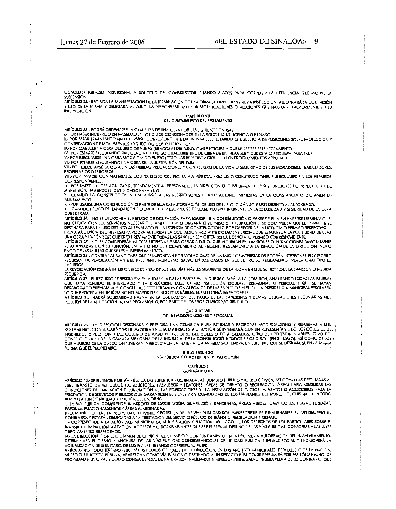CONCEDER PERMISO PROVISIONAL A SOLICITUD DEL CONSTRUCTOR, FIJANDO PLAZOS PARA CORREGIR LA DEFICIENCIA QUE MOTIVE LA SUSPENSIÓN.

ARTÍCULO 32.- RECIBIDA LA MANIFESTACIÓN DE LA TERMINACIÓN DE UNA OBRA LA DIRECCION PREVIA INSPECCIÓN, AUTORIZARÁ LA OCUPACIÓN Y USO DE LA MISMA Y DELEGARÁ AL D.R.O. LA RESPONSABILIDAD FOR MODIFICACIONES O ADICIONES QUE HAGAN POSTERIORMENTE SIN SU INTERVENCIÓN.

### CAPÍTULO VII

#### DEL CUMPLIMIENTO DEL REGLAMENTO

ARIÍCULO 33.- FODRÁ ORDENARSE LA CLAUSURA DE UNA OBRA POR LAS SIGUIENTES CAUSAS:

I .- POR HABER INCURRIDO EN FALSEDAD EN LOS DATOS CONSIGNADOS EN LA SOLICITUD DE UCENCIA O PERMISO.

IN PORTESTAR TRABAJANDO SIN EL PERMISO CORRESPONDIENTE EN UN INMUEBLE, ESTANDO ESTE SUJETO A DISPOSICIONES SOBRE PROTECCIÓN Y<br>CONSERVACIÓN DE MONUMENTOS ARQUEOLÓGICOS O HISTÓRICOS.<br>IIL- POR CARECER LA OBRA DEL LIBRO DE VIS

IV. POR ESTARSE EJECUTANDO SIN LICENCIA O PERMISO CUALQUIER TIPO DE QBRA DE UN INMUEBLE Y OUE ESTA SE REOUIERA PARA TAL FIN.

V .- POR EJECUTARSE UNA OBRA MODIFICANDO EL PROYECTO, LAS ESPECIFICACIONES O LOS PROCEDIMIENTOS APROBADOS. VI .- POR ESTARSE EJECUTANDO UNA OBRA SIN LA SUPERVISIÓN DEL D.R.O.

VII.- POR EJECUTARSE LA OBRA SIN LAS DEBIDAS PRECAUCIONES Y CON PELIGRO DE LA VIDA O SEGURIDAD DE SUS MORADORES. TRABAJADORES. **PROPIETARIOS O TERCEROS.** 

VIII.- POR INVADIR CON MATERIALES, EOUIPO, DESECHOS, ETC. LA VÍA PÚBLICA, PREDIOS O CONSTRUCCIONES PARTICULARES SIN LOS PERMISOS **CORRESPONDIENTES** 

IX.- POR IMPEDIR U OBSTACULIZAR REITERADAMENTE AL PERSONAL DE LA DIRECCION EL CUMPLIMIENTO DE SUS FUNCIONES DE INSPECCIÓN Y DE SUSPENSIÓN, HABIÉNDOSE IDENTIFICADO PARA ELLO.

X.- CUANDO LA CONSTRUCCIÓN NO SE AJUSTE A LAS RESTRICCIONES O AFECTACIONES IMPUESTAS EN LA CONSTANCIA O DICTAMEN DE ALINEAMIENTO.

XI.- POR USARSÉ UNA CONSTRUCCIÓN O PARTE DE ELLA SIN AUTORIZACIÓN DE USO DE SUELO. O DÁNDOLE USO DISTINTO AL AUTORIZADO. XII - CUANDO PREVIO DICTAMEN TECNICO EMITIDO POR ESCRITO, SE DECLARE PELIGRO INMINENTE EN LA ESTABILIDAD Y SEGURIDAD DE LA OBRA **QUE SE TRATE.** 

ARTÍCULO 34.- NO SE OTORGARÁ EL PERMISO DE OCUPACIÓN PARA USARSE UNA CONSTRUCCIÓN O PARTE DE ELLA SIN HABERSE TERMINADO. SI MO CUENTA CON LOS SERVICIOS NECESARIOS, TAMPOCO SE OTORGARÁ EL PERMISO DE OCUPACIÓN SI SE COMPRUEBA QUE EL INMUEBLE SE DESTINARA PARA UN USO DISTINTO AL SEÑALADO EN LA LICENCIA DE CONSTRUCCIÓN O POR CARECER DE LA LICENCIA O PERMISO RESPECTIVO. PREVIA AUDIENCIA DEL INTERESADO, PODRÁ AUTORIZAR LA OCUPACIÓN MEDIANTE DICTAMEN PERICIAL QUE ESTABLETCA LA POSIBILIDAD DE USAR<br>UNA OBRA Y HABIÉNDOSE CUBIERTO PREVIAMENTE TODAS LAS SANCIONES Y OBTENIDO LA LICENCIA O PERMISO

ARTÍCULO 35. NO SE CONCEDERÁN NUEVAS LICENCIAS PARA OBRAS A D.R.O. QUE INCURRAN EN OMISIONES O INFRACCIONES DIRECTAMENTE RELACIONADAS CON SU FUNCIÓN, EN TANTO NO DEN CUMPLIMIENTO AL PRESENTE REGLAMENTO A SATISFACCIÓN DE LA DIRECCION PREVIO PAGO DE LAS MILITAS QUE SE LES HUBIEREN IMPLIESTO.

ARTÍCULO 34 - CONTRA LAS SANCIONES QUE SE IMPONGAN POR VIOLACIONES DEL MISMO. LOS INTERESADOS PODRÁN INTERPONER POR ESCRITO RECURSOS DE REVOCACIÓN ANTE EL PRESIDENTE MUNICIPAL, SALVO EN LOS CASOS EN QUE EL PROPIO REGLAMENTO PREVEA OTRO TIPO DE RECURSOS.

LA REVOCACIÓN DEBERÁ INTERPONERSE DENTRO DE LOS SEIS DÍAS HÁBILES SIGUIENTES DE LA FECHA EN QUE SE NOTIFIQUE LA SANCIÓN O MEDIDA RECURRIDA

ARTÍCULO 37.- EL RECURSO SE RESOLVERÁ EN AUDIENCIA DE LAS PARTES EN LA QUE SE CITARÁ A LA COMISIÓN, ANALIZANDO TODAS LAS PRUEBAS QUE HAYA RENDIDO EL INTERESADO Y LA DIRECCION, TALES COMO INSPECCIÓN OCULAR, TESTIMONIAL O PERICIAL Y QUE SE HAYAN<br>DESAHOGADO PREVIAMENTE CONCLUIDOS ESTOS TRÁMITES CON ALEGATOS DE LAS PARTES O SIN ELLOS, LA PRESIDENCIA MUN LO QUE PROCEDA EN UN TÉRMINO NO MAYOR DE CINCO DÍAS HÁBILES, EL FALLO SERÁ IRREVOCABLE.

ARTÍCULO 3B.- HABRÁ SOLIDARIDAD PASIVA EN LA OBUGACIÓN DEL PAGO DE LAS SANCIONES Y DEMÁS OBUGACIONES PECUNIARIAS QUE RESULTEN DE LA APLICACIÓN DE ESTE REGLAMENTO, POR PARTE DE LOS PROPIETARIOS Y/O DEL D.R.O.

#### CAPÍTULO VIII DE LAS MODIFICACIONES Y REFORMAS

ARTICULO 39,- LA DIRECCION DESIGNARÁ Y PRESIDIRÁ UNA COMISIÓN PARA ESTUDIAR Y PROPONER MODIFICACIONES Y REFORMAS A ESTE REGLAMENTO, CON EL CARÁCTER DE ASESORA EN ESTA MATERIA. ESTA COMISIÓN SE INTEGRARÁ CON UN REPRESENTANTE DE LOS COLEGIOS DE 11 ingenieros civiles, orno del colegio de Arquitectos, oro del colegio de Abogados, oro de Profesiones Afines, oro del<br>Conselo Y otro de la Cámara Mexicana de la Industria de la Construcción; todos ellos d.r.o. (en su caso), FORMA QUE EL PROPIETARIO.

**IfIULO SEGUNDO** VÍA PÚBLICA Y OTROS BIENES DE USO COMÚN

#### **CAPÍTULO 1 GENERALIDADES**

ARTÍCULO 40.- SE ENTIENDE POR VÍA PÚBLICA LAS SUPERFICIES DESTINADAS AL DOMINIO PÚBLICO Y/O USO COMÚN. ASÍ COMO LAS DESTINADAS AL CONDICIONES DE AIREACIÓN E ILUMINACIÓN DE LAS EDIFICACIONES Y AREAS DE ORNATO O RECREACIÓN, ÁREAS PARA ASEGURAR LAS<br>CONDICIONES DE AIREACIÓN E ILUMINACIÓN DE LAS EDIFICACIONES Y LA INSTALACIÓN DE DUCTOS, APARATOS O ACCESOR TIEMPO LA FUNCIONAUDAD Y ESTÉTICA DEL ENTORNO.

I.- LA VÍA PÚBLICA COMPRENDE EL ARROYO DE CIRCULACIÓN, GUARNICIÓN, BANQUETAS, ÁREAS VERDES, CAMELLONES, PLAZAS, TERRAZAS. PARQUES, ESTACIONAMIENTOS Y ÁREAS AJARDINADAS.<br>IL EL MUNICIPIO TIENE LA PROPIEDAD, DOMINIO Y POSESIÓN DE LAS VÍAS PÚBLICAS; SON IMPRESCRIPTIBLES E INALIENABLES, SALVO DECRETO EN

IN CONTRARIO, Y ESTARÁN DEDICADAS A LA PRESTACIÓN DEL SERVICIO PÚBLICO DE TRÁNSITO, RECREACIÓN Y ORNATO<br>III.- CORRESPONDE A LA AUTORIDAD MUNICIPAL LA AUTORIZACIÓN Y FUACIÓN DEL PAGO DE LOS DERECHOS DE LOS PARTICULARES SOBR

Y REGLAMENTOS RESPECTIVOS.

" RESERVATIVO RELIGIONALES DE OPINIÓN DEL CONSEJO Y CON FUNDAMENTO EN LA LEY, PREVIA AUTORIZACIÓN DEL H. AYUNTAMIENTO,<br>DETERMINARÁ EL DISEÑO Y ANCHURA DE LAS VÍAS PÚBLICAS CONSIDERÁNDOLAS DE UTILIDAD PÚBLICA E INTERES SOCI

ARIÍCULO 41.- TODO TERRENO QUE EN LOS PLANOS OFICIALES DE LA DIRECCION, EN LOS ARCHIVO MUNICIPALES, ESTATALES O DE LA NACIÓN, MUSEO O BIBLIOTECA PÚBUCA, APAREICAN COMO VÍA PÚBLICA O DESTINADO A UN SERVICIO PÚBLICO, SE PRESUMIRÁ POR ESE SÓLO HECHO, DE PROPIEDAD MUNICIPAL Y COMO CONSECUENCIA, DE NATURALEZA INALIENABLE E IMPRESCRIPTIBLE, SALVO PRUEBA PLENA DE LO CONTRARIO, QUE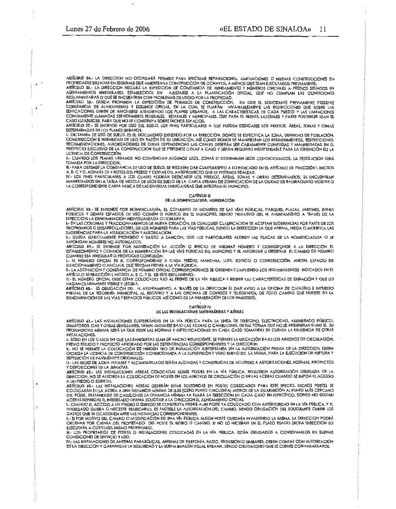ARTÍCULO 54.- LA DIRECCION NO OTORGARÁ PERMISO PARA EFECTUAR REPARACIONES, AMPUACIONES O NUEVAS CONSTRUCCIONES EN PROPIEDADES SITUADAS EN ESQUINAS QUE AMERITEN LA CONSTRUCCIÓN DE OCHAVOS, A MENOS QUE SEAN EJECUTADOS PREVIAMENTE. ARIÍCULO 55. LA DIRECCION NEGARÁ LA EXPEDICIÓN DE CONSTANCIA DE ALINEAMIENTO Y NÚMEROS OFICIALES A PREDIOS SITUADOS EN

ARICULO SS.- LA DIRECCION PEGARA LA EXPEDICIÓN DE CONSTANCIA DE ALIMEAMIENTO Y NUMEROS OFICIALES A PREDIOS SITUADOS EN<br>ASENTAMIENTOS IRREGULARES, ESTABLECIDOS SIN AUSTARSE A LA PLANIFICACIÓN OFICIAL, QUE NO CUMPLAN LAS CON

ARTÍCULO 57.- SE ENTIENDE POR USO DEL SUELO, LOS FINES PARTICULARES A QUE PUEDEN DEDICARSE LOS PREDIOS, ÁREAS, ZONAS Y OBRAS

ARIICULO 37.- 32 ENTIEMBE POR LA BIO DEL JUEGO DE LA DIRECCIÓN, DONDE SE ESPECIFICA LA ZONA, DENSIDAD DE POBLACIÓN,<br>I.- DICTAMÉN DE USO DE SUELO, ES EL DOCUMENTO EXPEDIDO POR LA DIRECCIÓN, DONDE SE ESPECIFICA LA ZONA, DENS PROYECTO EJECUTIVO DE LA CONSTRUCCIÓN QUE SE PRETENDE LLEVAR A CABO Y SERÁN REQUISITO INDISPENSABLE PARA LA OBTENCIÓN DE LA LICENCIA DE CONSTRUCCIÓN.

II.- CUANDO LOS PLANES URBANOS NO CONTENGAN ALGUNOS USOS, ZONAS O DETERMINEN USOS CONDICIONADOS. LA RESOLUCIÓN SERÁ **TOMADA POR LA DIRECCION.** 

III.- PARA OBTENER LA CONSTANCIA DE USO DE SUELO, SE REQUIERE DAR CUMPLIMIENTO A LO INDICADO EN EL ARTÍCULO 50 FRACCIÓN I, INCISOS EN TERRO DURING DE 4 FOTOS DEL PREDIO Y COPIAS DEL ANTERROYECTO QUE SE PRETENDE REALIZAR.<br>N. B. C Y D. ADEMÁS DE 4 FOTOS DEL PREDIO Y COPIAS DEL ANTERROYECTO QUE SE PRETENDE REALIZAR.<br>IV.- LOS FINES PARTICULARES A LOS CUAL

MANIFESTADOS EN LA TABLA DE MEZCLA DE USOS DE SUELO DE LA CARTA URBANA DE ZONIFICACIÓN DE LA CIUDAD DE BADIRAGUATO VIGENTE O LA CORRESPONDIENTE CARTA BÁSICA DE LAS DIVERSAS SINDICATURAS QUE INTEGRAN EL MUNICIPIO.

#### CAPITULO III DE LA HOMENCLATURA, NUMERACIÓN

ARTÍCULO 5B.- SE ENTIENDE POR NOMENCLATURA, EL CONJUNTO DE NOMBRES DE LAS VÍAS PÚBLICAS, PARQUES, PLAZAS, JARDINES, BIENES<br>PÚBLICOS Y DEMÁS ESPACIOS DE USO COMÚN O PÚBLICO EN EL MUNICIPIO, SIENDO PRIVATIVO DEL H. AYUNTAMIE DIRECCION, LA DENOMINACIÓN INDIVIDUALIZADA O CONJUNTA.

I- EN LAS COLONIAS Y FRACCIONAMIENTOS DE NUEVA CREACIÓN, DE CUALQUIER CLASIFICACIÓN SE ACEPTAN SUGERENCIAS POR PARTE DE LOS FROPIETARIOS O DESARROLLADORES, DE LOS NOMBRES PARA LAS VÍAS PÚBLICAS, SIENDO LA DIRECCION LA QUE AFIRMA, NIEGA O MODIFICA LAS SUGERENCIAS PARA LA ADJUDICACIÓN Y AUTORIZACIÓN.

II.- QUEDA ESTRICTAMENTE PROHIBIDO Y SUJETO A SANCIÓN, QUE LOS PARTICULARES ALTEREN LAS PLACAS DE LA NOMENCLATURA O SE IMPONG AN NOMBRES NO AUTORIZADOS.

ARTÍCULO 59.- SE ENTIENDE POR NUMERACIÓN LA ACCIÓN O EFECTO DE ASIGNAR NÚMERO Y CORRESPONDE A LA DIRECCION EL ESTABLECIMIENTO Y CONTROL DE LA NUMERACIÓN EN LAS VÍAS PÚBLICAS DEL MUNICIPIO Y EL AUTORIZAR U ORDENAR EL CAMBIO DE NÚMERO

CUANDO SEA IRREGULAR O PROVOQUE CONFUSIÓN.<br>I.- EL NÚMERO OFICIAL ES EL CORRESPONDIENTE A CADA PREDIO, MANZANA, LOTE, EDIFICIO O CONSTRUCCIÓN, ANDÉN, ESPACIO DE<br>ESTACIONAMIENTO O ANCLAJE, QUE TENGAN FRENTE A LA VÍA PÚBLICA.

II,- LA ASIGNACIÓN Y CONSTANCIA DE NÚMERO OFICIAL CORRESPONDIENTES SE OBTIENEN CUMPLIENDO LOS REQUERIMIENTOS INDICADOS EN EL artículo sofracción I, incisos A, B, C, Y D, DE este reglamento.<br>III.- El número oficial debe estar colocado fijo al frente de la vía pública y reunir las características de duración y oue lo

HAGAN CLARAMENTE VISIBLE Y LEGIBLE.

ARTÍCULO 60.- ES OBLIGACIÓN DEL H. AYUNTAMIENTO, A TRAVÉS DE LA DIRECCION EL DAR AVISO A LA OFICINA DE CATASTRO E IMPUESTO PREDIAL DE LA TESORERÍA MUNICIPAL, AL REGISTRO Y A LAS OFICINAS DE CORREOS Y TELÉGRAFOS, DE TODO CAMBIO QUE HUBIERE EN LA<br>DENOMINACIÓN DE LAS VÍAS Y ESPACIOS PÚBLICOS, ASÍ COMO DE LA NUMERACIÓN DE LOS INMUEBLES.

#### CAPITULO IV

#### DE LAS INSTALACIONES SUBTERRÁNEAS Y AÉREAS

ARTÍCULO 61.- LAS INSTALACIONES SUBTERRÁNEAS EN LA VÍA PÚBLICA PARA LA LÍNEA DE TELEFONO, ELECTRICIDAD, ALUMBRADO PÚBLICO, SEMÁFOROS, GAS Y OTRAS SEMEJANTES, DEBEN ALOJARSE BAJO LAS ACCERAS O CAMELLONES, DE TAL FORMA QUE NO SE INTERFIERAN ENTRE SÍ, SU INSTALACIONES.

I.- SÓLO EN LOS CASOS EN QUE LAS BANQUETAS SEAN DE ANCHO INSUFICIENTE, SE PERMITE LA UBICACIÓN BAJO LOS ARROYOS DE CIRCULACIÓN, PREVIO ESTUDIO Y PROYECTO APROBADO POR LAS DEPENDENCIAS CORRESPONDIENTES Y LA DIRECCION.<br>11.- NO SE PERMITE LA COLOCACIÓN DE NINGÚN TIPO DE INSTALACIÓN SUBTERRÁNEA SIN LA AUTORIZACIÓN PREVIA DE LA DIRECCION, QUIEN

OTORGA LA LICENCIA DE CONSTRUCCIÓN CONDICIONADA A LA SUPERVISIÓN Y VISTO BUENO DE LA MISMA, PARA LA EJECUCIÓN DE RUPTURA Y REPOSICIÓN DE PAVIMENTOS ORIGINALES.

III.- LAS REDES DE AGUA POTABLE Y ALCANTARILLADO SERÁN ALOJADAS Y CONSTRUIDAS DE ACUERDO A AUTORIZACIONES, NORMAS, PROYECTOS Y DISPOSICIONES DE LA JUMAPAB.

ARTÍCULO 62.- LAS INSTALACIONES AÉREAS COLOCADAS SOBRE POSTES EN LA VÍA FÚBLICA, REQUIEREN AUTORIZACIÓN OBLIGADA DE LA DIRECCION. NO SE AUTORIZA LA COLOCACIÓN DE POSTES EN LOS ARROYOS DE CIRCULACIÓN O EN LAS ACERAS CUANDO SE IMPIDA EL ACCESO A UN PREDIO O EDIFICIO.

ARTÍCULO 63 - LAS INSTALACIONES AÉREAS DEBERÁN ESTAR SOSTENIDAS EN POSTES COLOCADOS PARA ESTE EFECTO, DICHOS POSTES SE COLOCARÁN EN LA ACERA A UNA DISTANCIA MÍNIMA DE 0.50 (CERO PUNTO CINCUENTA) METROS DE LA GUARNICIÓN AL PUNTO MÁS CERCANO DEL POSTE. TRATÁNDOSE DE CALLEJONES LA DISTANCIA MÍNIMA LA FIJARÁ LA DIRECCIÓN EN CADA CASO EN ESPECÍFICO, DONDE NO EXISTAN ACERAS DEFINIDAS EL INTERESADO DEBERÁ SOUCITAR A LA DIRECCIÓN EL ALINEAMIENTO OFICIAL.<br>1- CUANDO EL ACCESO A UN PREDIO O EDIFICIO SE CONSTRUYA FRENTE A UN POSTE YA COLOCADO CON ANTERIORIDAD EN LA VÍA PÚBLICA, Y EL

INTERESADO QUIERA O NECESITE REUBICARLO, ES FACTIBLE LA AUTORIZACIÓN DEL CAMBIO, SIENDO OBLIGACIÓN DEL SOLICITANTE CUBRIR LOS

GASTOS QUE SE OCASIONEN ANTE LAS INSTANCIAS CORRESPONDIENTES.<br>18- SI POR MOTIVO DEL CAMBIO O MODIFICACIÓN DE UNA VÍA PÚBLICA ALGÚN POSTE QUEDARA INVADIENDO LA MISMA, LA DIRECCION PODRÁ<br>19- SI POR MOTIVO DEL CAMBIO O MODIFI EJECUTARÁ A COSTO DEL MISMO PROPIETARIO.

III.- LOS PROPIETARIOS DE POSTES O INSTALACIONES COLOCADAS EN LA VÍA PÚBLICA, ESTÁN OBLIGADOS A CONSERVARLOS EN BUENAS

IV.- LAS INSTALACIONES DE ANTENAS PARABÓLICAS, ANTENAS DE TELEFONÍA, RADIO, TELEVISIÓN O SIMILARES, DEBEN CONTAR CON AUTORIZACIÓN DE LA DIRECCIÓN Y GARANTIZAR LA SEGURIDAD Y LA BUENA MAGEN VISUAL URBANA, SIENDO OBLIGATORIO QUE SE CUENTE CON PARARRAYOS,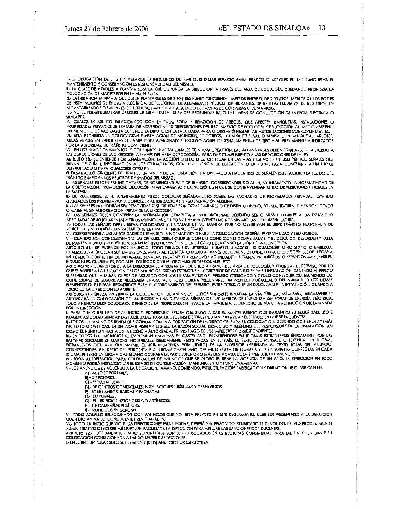$\ddot{\phantom{a}}$ 

I.- ES OBLIGACIÓN DE LOS PROPIETARIOS O INQUILINOS DE INMUEBLES DEJAR ESPACIO PARA PRADOS O ÁRBOLES EN LAS BANQUETAS, EL MANTENIMIENTO Y CONSERVACIÓN ES RESPONSABILIDAD DEL MISMO.

II. LA CLASE DE ÁRBOLES A PLANTAR SERÁ LA QUE DISPONGA LA DIRECCION A TRAVÉS DEL ÁREA DE ECOLOGÍA, QUEDANDO PROHIBIDA LA COLOCACIÓN DE MACETEROS EN LA VÍA PÚBUCA.

UL LA DISTANCIA MINIMA À QUE DEBEN PLANTARSE ES DE 3.50 (FRES PUNTO CINCUENTA) METROS ENTRE SÍ, DE 2.00 (DOS) METROS DE LOS POSTES<br>DE INSTALACIONES DE ENERGÍA ELÉCTRICA, DE TELÉFONOS, DE ALUMBRADO PÚBLICO, DE HIDRANTES, DE

IV. NO SE PERMITE SEMBRAR ÁRBOLES DE GRAN TALLA O RAÍCES PROFUNDAS BAJO LAS LÍNEAS DE CONDUCCIÓN DE ENERGÍA ELÉCTRICA O SIMILARES,

UN CUALQUIER ASUNTO RELACIONADO CON LA TALA, PODA Y REMOCIÓN DE ÁRBOLES QUE AFECTEN BANQUETAS, INSTALACIONES O<br>PROPIEDADES PRIVADAS, SE TRATARÁ DE ACUERDO A LAS DISPOSICIONES DEL REGLAMENTO DE ECOLOGÍA Y PROTECCIÓN AL MEDI

VI.- ESTA PROHIBIDA LA COLOCACIÓN E INSTALACIÓN DE ANUNCIOS, LOGOTIPOS, CUALQUIER SEÑAL O MÉNSAJE EN BANQUETAS, ÁRBOLES,<br>ÁREAS VERDES EN BANQUETAS O CAMELLONES AJARDINADOS, EXCÉPTO AQUELLOS SEÑALAMIENTOS DE TIPO VIAL PREVI

VII .- EN LOS FRACCIONAMIENTOS Y CONJUNTOS HABITACIONALES DE NUEVA CREACIÓN, LAS ÁREAS VERDES DEBEN EQUIPARSE DE ACUERDO A

VAL EN LOS DISPOSICIONES DE LA DIRECCION A TRAVÉS DEL ÁREA DE ECOLOGÍA, PARA DAR CUMPLUMENTO A LAS DISPOSICIONES DE LA LEY.<br>ARTÍCULO 68.- SE ENTIENDE POR SEÑALIZACIÓN, LA ACCIÓN O EFECTO DE COLOCAR EN LAS VÍAS Y ESPACIOS D DETERMINADO O PARA CUALQUIER OTRO FIN.

EL DESARROLLO CRECIENTE DEL TRÁFICO URBANO Y DE LA POBLACIÓN, HA OBLIGADO A HACER USO DE SEÑALES QUE FACILITEN LA FLUIDEZ DEL TRÁNSITO E IMPIDAN LOS PELIGROS DERIVADOS DEL MISMO.<br>1.- LAS SEÑALES PUEDEN SER INDICATIVAS, DE NOMENCLATURA Y DE TRÁNSITO, CORRESPONDIENDO AL H. AYUNTAMIENTO LA NORMATIVIDAD DE

LA COLOCACIÓN, PROMOCIÓN, EJECUCIÓN, MANTENMIENTO Y CONCESIÓN, SIN QUE SE CONTRAVENGAN OTRAS DISPOSICIONES OFICIALES EN LA MATERIA

u.- DE REQUERIRSE, EL H. AYUNTAMENTO PUEDE COLOCAR SEÑALAMIENTO SOBRE LAS FACHADAS DE PROPIEDADES PRIVADAS, ESTANDO<br>OBLIGADOS LOS PROPIETARIOS A CONCEDER AUTORIZACIÓN SIN REMUNERACIÓN ALGUNA.

III - LAS SENALES NO PODRÁN SER REMOVIDAS O SUSTITUIDAS POR OTRAS SIMILARES O DE DISTINTO DISEÑO, FORMA, TEXTURA, DIMENSIÓN, COLOR O MATERIAL SIN AUTORIZACIÓN PREVIA DE LA DIRECCION.

O MAILMAD SIN FORMACION DE PRINCIPAL EN DIRECTON.<br>IV. LAS SERALES DEBEN CONTENER LA INFORMACIÓN COMPLETA A PROPORCIONAR, DEBIENDO SER CLARAS Y LEGIBLES A LAS DISTANCIAS<br>ADÉCUADAS DE 40 (CUARENTA) METROS MÍNIMO LAS DE TIPO

V.- TODAS LAS SENALES DEBEN ESTAR COLOCADAS Y UBICADAS DE TAL MANERA QUE NO OBSTRUYAN EL LIBRE TRÁNSITO PEATONAL Y DE VEHÍCULOS Y NO DEBEN CONTRASTAR O DETERIORAR EL ENTORNO URBANO.

VI.- CORRESPONDE A LAS AUTORIDADES DE TRÁNSITO LA NORMATIVIDAD PARA LA COLOCACIÓN DE SEÑALES DE VIALIDAD Y SEMÁFOROS.<br>VII.- CUANDO SON CONCESIONADAS LAS SEÑALES, DEBEN CUMPUR CON LAS CONDICIONES CONVENIADAS, Y EL DESCUIDO,

VII. COMMINDINIBRITO Y REPOSICIÓN, SERÁN MOTIVO DE SANCIÓN O EN SU CASO DE LA CANCELACIÓN DE LA CONCESIÓN.<br>ARTÍCULO 87.- SE ENTIENDE POR ANUNCIO, TODO DIBUJO, UJZ, LETREROS, NÚMERO, SÍMBOLO O CUALQUIER OTRO SIGNO O EMBLEMA INDUSTRIALES, CULTURALES, SOCIALES, POLÍTICOS, CIVILES, OFICIALES, PROFESIONALES, ETC.

ARTÍCULO 70. - CORRESPONDE A LA DIRECCIÓN EL APROBAR LA SOLICITUD A TRAVÉS DEL ÁREA DE ECOLOGÍA Y OTORGAR EL PERMISO POR LO<br>QUE SE REFIERE A LA UBICACIÓN DE LOS ANUNCIOS, DISEÑO ESTRUCTURAL Y CRITERIOS DE CALCULO PARA SU I SUPERVISAR QUE LA MISMA QUEDE DE ACUERDO CON LOS LINEAMIENTOS DEL PERMISO OTORGADO Y COMO CONSECUENCIA REUNIENDO LAS CONDICIONES DE SEGURIDAD NECESARIAS. PARA TAL EFECTO DEBERÁ PRESENTARSE UN PROYECTO DETALLADO DEL ANUNCIO Y LOS DEMÁS ELEMENTOS QUE LE SEAN REQUERIDOS PARA EL OTORGAMIENTO DEL PERMISO, ENTRE OTROS QUE UN D.R.O. AVALE LA INSTALACIÓN; CUANDO A JUICIO DE LA DIRECCIÓN LO AMERITE.

JUICIO DE LA UNECON LO AMENIE.<br>ARTÍCULO 71.- QUEDA PROHIBIDA LA COLOCACIÓN DE ANUNCIOS CUYOS SOPORTES INVADAN LA VÍA PÚBLICA, ASÍ MISMO, ÚNICAMENTE SE<br>AUTORIZARÁ LA COLOCACIÓN DE ANUNCIOS A UNA DISTANCIA MÍNIMA DE 1.50 MET TODO ANUNCIO DEBE COLOCARSE DENTRO DE LA PROPIEDAD, SIN INVADIR LA BANQUETA, EL DERECHO DE VÍA O LA RESTRICCIÓN DICTAMINADA POR LA DIRECCION.

I.- PARA CUALQUIER TIPO DE ANUNCIO EL PROPIETARIO ESTARÁ OBLIGADO A DAR EL MANTENIMIENTO QUE GARANTICE SU SEGURIDAD, USO E .<br>IMAGEN: ASÍ COMO BRINDAR LAS FACILIDADES PARA QUE LOS INSPECTORES PUEDAN SUPERVISAR EL ESTADO EN QUE SE ENCUENTRA.<br>IL-TODOS LOS ANUNCIOS TIENEN QUE CONTAR CON LA AUTORIZACIÓN DE LA DIRECCION PARA SU COLOCACIÓN, DEBIENDO

DEL TEXTO O LEYENDAS, EN UN LUGAR VISIBLE Y LEGIBLE, LA RAZÓN SOCIAL DOMICIUO Y TELEFONO DEL RESPONSABLE DE LA INSTALACIÓN, ASÍ

DEL IEXIO DE L'ENFIDAS, EN UN LUGAR MISILE TELOISIAL, LA RAZION SOCIAL DOMINICIO TELEFIDADE DE LA INSIALACIÓN, ASI<br>COMO EL NÚMERO Y FECHA DE LA LICENCIA AUTORIZADA, PREVIO PAGO DE LOS IMPUESTOS CORRESPONDIENTES.<br>III.- EN T CORRESPONDIENTE EL RESTO DEL PORCENTAJE AL IDIOMA CASTELLANO, DEBENDO SER LA ORTOGRAFÍA Y LA SINTAXIS LAS CORRECTAS EN CADA<br>IDIOMA, EL TEXTO EN IDIOMA CASTELLANO OCUPARÁ LA PARTE SUPERIOR O MÁS DESTACADA DE LA SUPERFICIE D

MOMENTO PODRÁ INSPECCIONAR EL ESTADO DE CONSERVACIÓN, MANTENIMIENTO Y FUNCIONAMIENTO

V.- LOS ANUNCIOS DE ACUERDO A LA UBICACIÓN, TAMAÑO, CONTENIDO, ESTRUCTURACIÓN, FABRICACIÓN Y DURACIÓN, SE CLASIFICAN EN: A) .- AUTO SOPORTABLE,

BI .- DIRECTORIO.

C) - ESPECTACULARES.

D) .- DE CENTROS COMERCIALES, INSTALACIONES TURÍSTICAS Y DE SERVICIOS.

E) .- SOBRE MUROS, BARDAS Y FACHADAS.

FI .- TEMPORALES.

GJ-EN EDIFICIOS HISTÓRICOS Y/O ARTÍSTICOS.

H. DE CAMPAÑAS POLÍTICAS.<br>II.- PROHIBIDOS EN GENERAL.

VI.- TODO AQUELLO RELACIONADO CON ANUNCIOS QUE NO ESTA PREVISTO EN ESTE REGLAMENTO, DEBE SER PRESENTADO A LA DIRECCION QUIEN DICTAMINA LO CONDUCENTE PREVIO ANÁUSIS.

MINITION ANUNCIO QUE VIOLE LAS DISPOSICIONES ESTABLECIDAS, DEBERÁ SER REMOVIDO, REUBICADO O DEMOLIDO, PREVIO PROCEDIMIENTO<br>ADMINISTRATIVO DE NO SER ASÍ QUEDARA FACULTADA LA DIRECCION PARA APLICAR LAS SANCIONES CONDUCENTES. ARTÍCULO 72.- LOS ANUNCIOS AUTO SOPORTABLES SON LOS COLOGADOS EN ESTRUCTURAS CONSTRUIDAS PARA TAL FIN Y SE PERMITE SU

COLOCACIÓN CONDICIONADA A LAS SIGUIENTES DISPOSICIONES:

I.- EN EL TIPO UNIPOLAR SOLO SE PERMITEN 2 (DOS) ANUNCIO POR ESTRUCTURA.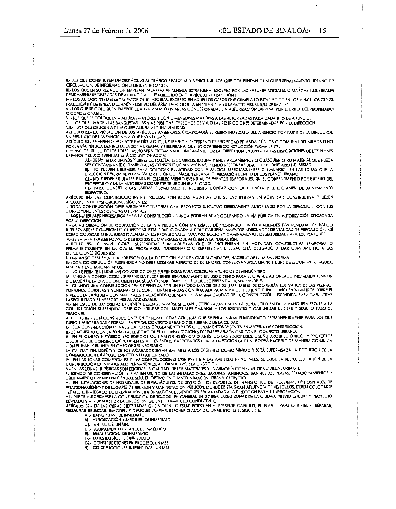II.- LOS QUE CONSTITUYEN UN OBSTÁCULO AL TRÁFICO PEATONAL Y VEHICULAR. LOS QUE CONFUNDAN CUALQUIER SEÑALAMIENTO URBANO DE CIRCULACIÓN, DE INFORMACIÓN O DE IDENTIFICACIÓN

III. LOS QUE EN SU REDACCIÓN EMPLEAN PALABRAS EN LENGUA EXTRANJERA, EXCEPTO POR LAS RAZONES SOCIALES O MARCAS INDUSTRIALES<br>DEBIDAMENTE REGISTRADAS DE ACUERDO A LO ESTABLECIDO EN EL ARTÍCULO 71 FRACCIÓN III.

IV - LOS AUTO-SOPORTABLES Y GIRATORIOS EN AZOTEAS, EXCEPTO EN AQUELLOS CASOS QUE CUMPLA LO ESTABLECIDO EN LOS ARTÍCULOS 70 Y 73 FRACCIÓN II Y OBTENGA DICTAMEN POSITIVO DEL ÁREA DE ECOLOGÍA EN CUANTO A SU IMPACTO VISUAL Y/O DE IMAGEN.<br>V.- LOS QUE SE COLOQUEN EN PROPIEDAD PRIVADA O EN ÁREAS CONCESIONADAS SIN AUTORIZACIÓN EXPRESA, POR ESCRITO, DEL PRO

O CONCESIONARIO. VI .- LOS QUE SE COLOQUEN A ALTURAS MAYORES Y CON DIMENSIONES MAYORES A LAS AUTORIZADAS PARA CADA TIPO DE ANUNCIO.

VII.- LOS QUE INVADEN LAS BANQUETAS, LAS VÍAS PÚBLICAS, DERECHOS DE VÍA O LAS RESTRICCIONES DETERMINADAS POR LA DIRECCION.

VIII.- LOS QUE CRUCEN A CUALQUIER ALTURA ALGUNA VIALIDAD.

......<br>ARTICULO B2.- LA VIOLACIÓN DE LOS ARTÍCULOS ANTERIORES, OCASIONARÁ EL RETIRO INMEDIATO DEL ANUNCIO POR PARTE DE LA DIRECCION,<br>SIN PERJUICIO DE LAS SANCIONES A QUE HAYA LUGAR.

ARTÍCULO B3.- SE ENTIENDE POR LOTE BALDÍO, AQUELLA SUPERFICIE DE TERRENO DE PROPIEDAD PRIVADA, PÚBLICA O COMUNAL DELIMITADA O NO POR LA VÍA PUBLICA DENTRO DE LA ZONA URBANA Y SUBURBANA, QUE NO CONTIENE CONSTRUCCIÓN PERMANENTE

I-EL USO DEL SUELO DE LOS LOTES BALDÍO SERÁ DICTAMINADO ÚNICAMENTE POR LA DIRECCIÓN EN APEGO A LAS DISPOSICIÓNES DE LOS PLANES

. L. DEBEN ESTAR LIMPIOS Y LIBRES DE MALEZA, ESCOMBROS, BASURA Y ENCHARCAMIENTOS O CUALQUIER OTRO MATERIAL QUE PUEDA SÉR CONTAMINANTE O DAÑINO A LAS CONSTRUCCIONES VECINAS, SIENDO RESPONSABILIDAD DEL PROPIETARIO DEL MISMO.

B) .- NO PUEDEN UTILIZARSE PARA COLOCAR PUBLICIDAD CON ANUNCIOS ESPECTACULARES O SIMILARES, EN LAS ZONAS QUE LA DIRECCION DETERMINE POR SU VALOR HISTÓRICO, IMAGEN URBANA, Ó UBICACIÓN DENTRO DE LOS PLANES URBANOS. CI .- NO PUEDEN UTILIZARSE PARA EL ESTABLECIMIENTO EVENTUAL DE EVENTOS TEMPORALES, SIN EL CONSENTIMIENTO POR ESCRITO DEL

PROPIETARIO Y DE LA AUTORIDAD COMPETENTE, SEGÚN SEA EL CASO. DI- PARA CONSTRUIR LAS BARDAS PERIMETRALES ES REQUISITO CONTAR CON LA LICENCIA Y EL DICTAMEN DE ALINEAMIENTO

RESPECTIVO. ARTÍCULO B4,- LAS CONSTRUCCIONES EN PROCESO SON TODAS AQUELLAS QUE SE ENCUENTRAN EN ACTIVIDAD CONSTRUCTIVA Y DEBEN

APEGARSE A LAS DISPOSICIONES SIGUIENTES:<br>I.- TODA CONSTRUCCIÓN DEBE APEGARSE CONFORME A UN PROYECTO EJECUTIVO DEBIDAMENTE AUTORIZADO POR LA DIRECCION, CON SUS CORRESPONDIENTES LICENCIAS O PERMISOS.

II.- LOS MATERIALES NECESARIOS PARA LA CONSTRUCCIÓN NUNCA PODRÁN ESTAR OCUPANDO LA VÍA PÚBLICA SIN AUTORIZACIÓN OTORGADA POR LA DIRECCION

11. LA AUTORIZACIÓN DE OCUPACIÓN DE LA VÍA PÚBLICA CON MATERIALES DE CONSTRUCCIÓN EN VIALIDADES PAVIMENTADAS O TRAFICO INTENSO, AREAS COMERCIALES Y TURÍSTICAS, ESTÁ CONDICIONADA A COLOCAR SEÑALAMIENTOS ADECUADOS DE VIALIDAD DE PRECAUCIÓN, ASÍ COMO COLOCAR ESTRUCTURAS O ADITAMENTOS PROVISIONALES PARA PROTECCIÓN Y CAMINAMIENTOS DE SEGURIDAD PARA LOS PEATONES.

IV-SE EVITARÀ EXPELER POLVO O DESHECHOS DE MATERIALES QUE AFECTEN A LA POBLACIÓN.<br>ARIÍCULO 85.- CONSTRUCCIONES SUSPENDIDAS SON AQUELLAS QUE SE ENCUENTRAN SIN ACTIVIDAD CONSTRUCTIVA TEMPORAL O PERMANENTEMENTE, EN LA QUE EL PROPIETARIO, POSESIONARIO O REPRESENTANTE LEGAL ESTÁ OBLIGADO A DAR CUMPLIMIENTO A LAS DISPOSICIONES SIGUIENTES:

I.-DAR AVISO DE SUSPENSIÓN POR ESCRITO A LA DIRECCIÓN, Y AL REINICIAR ACTIVIDADES, HACERLO DE LA MISMA FORMA.<br>II.- TODA CONSTRUCCIÓN SUSPENDIDA NO DEBE MOSTRAR ASPECTO DE DETERIORO, CONSERVÁNDOLA LIMPIA Y LIBRE DE ESCOMBRO MALEZA Y ENCHARCAMIENTOS.

III. NO SE PERMITE UTILIZAR LAS CONSTRUCCIONES SUSPENDIDAS PARA COLOCAR ANUNCIOS DE NINGÚN TIPO.

IV. - NINGUNA CONSTRUCCIÓN SUSPENDIDA PUEDE TENER TEMPORALMENTE UN USO DISTINTO PARA EL QUE FUE AUTORIZADO INICIALMENTE, SIN UN<br>DICTAMEN DE LA DIRECCIÓN, QUIEN FUARÁ LAS CONDICIÓNES DEL USO QUE SE PRETENDA, DE SER FACTIBLE

V.- CUANDO UNA CONSTRUCCIÓN SEA SUSPENDIDA POR UN PERÍODO MAYOR DE 3,00 [TRES) MESES, SE CERRARÁN LOS VANOS DE LAS PUERTAS. PORTONES, CORTINAS Y VENTANAS O SE CONSTRUIRÁN BARDAS CON UNA ALTURA MÍNIMA DE 1.50 (UNO PUNTO CINCUENTA) METROS SOBRE EL THE RELIGIOUS AND MATERIALES Y ACABADOS QUE SEAN DE LA MISMA CAUDAD DE LA CONSTRUCCIÓN SUSPENDIDA, PARA GARANTIZAR<br>INTEL DE LA BANQUETA CON MATERIALES Y ACABADOS QUE SEAN DE LA MISMA CAUDAD DE LA CONSTRUCCIÓN SUSPENDIDA, P

VI.- EN CASO DE BANQUETAS EXISTENTES DEBEN REPARARSE SI ESTÁN DETERIORADAS Y SI EN LA ZONA SÓLO FALTA LA BANQUETA FRENTE A LA CONSTRUCCIÓN SUSPENDIDA, DEBE CONSTRUIRSE CON MATERIALES SIMILARES A LOS EXISTENTES Y GARANTIZAR EL LIBRE Y SEGURO PASO DE PEATONES.

ARTÍCULO 86.- SON CONSTRUCCIONES EN GENERAL TODAS AQUELLAS QUE SE ENCUENTRAN FUNCIONADO PERMANENTEMENTE PARA LOS QUE AINTENDE DU TRADA Y FORMAN PARTE DEL CONTEXTO URBANO Y SUBURBANO DE LA CUIDAD.<br>1.- TODA CONSTRUCCIÓN ESTA REGIDA POR ESTE REGLAMENTO Y LOS ORDENAMIENTOS VIGENTES EN MATERIA DE CONSTRUCCIÓN.<br>11.- DE ACUERDO CON LA ZONA, LAS

III- EN EL CENTRO HISTÓRICO Y/O EDIFICIOS CON VALOR HISTÓRICO O ARTÍSTICO LAS SOLICITUDES, DISEÑO ARQUITECTÓNICOS Y PROYECTOS<br>ELECUTIVOS DE CONSTRUCCIÓN, DEBEN ESTAR REVISADOS Y APROBADOS POR LA DIRECCIÓN LA CUAL PODRÁ HAC CON ELINAH Y EL INBA EN CASO DE SER NECESARIO

LA CALIDAD DEL DISEÑO Y DE LOS ACABADOS SERÁN SIMILARES A LOS EXISTENTES COMO MÍNIMO Y SERÁ SUPERVISADA LA EJECUCIÓN DE LA CONSTRUCCIÓN EN APEGO ESTRICTO A LO AUTORIZADO.

LONAINDE DE LA BONA COMERCIALES Y LAS CONSTRUCCIONES CON FRENTE A LAS AVENIDAS PRINCIPALES, SE EXIGE LA BUENA EJECUCIÓN DE LA<br>IV- EN LAS ZONAS COMERCIALES PERMANENTES, APROBADOS POR LA DIRECCION.

V.- EN LAS IONAS TURÍSTICAS SON EXIGIDAS LA CALIDAD DE LOS MATERIALES Y LA ARMONÍA CON EL ENTORNO VISUAL URBANO.

V.- EN LAS IONAS TURISTICAS SON EXIGIDAS LA CAUDAD DE LOS MATERIALES Y LA ARMONIA CON EL ENTORNO VISUAL URBANO.<br>EL ESTADO DE CONSERVACIÓN Y MANTENMIENTO DE LAS INSTALACIONES, JARDINES, ANUNCIOS, BANQUETAS, PLAZAS, ESTACION

ARTÍCULO 87.- EN LAS OBRAS EJECUTADAS QUE VIOLEN LO ESTABLECIDO EN EL PRESENTE CAPÍTULO, EL PLAZO PARA CONSTRUIR, REPARAR, RESTAURAR, REUBICAR, REMODELAR, DEMOLER, LIMPIAR, REPONER O ACONDICIONAR, ETC. ES EL SIGUIENTE:<br>A).- BANQUETAS, DE INMEDIATO<br>B}.- ARBORIZACIÓN Y JARDINES, DE INMEDIATO

C) .- ANUNCIOS, UN MES

DJ. ROUPAMENTO URBANO, DE INMEDIATO

Fi- LOTES BALDIOS, DE INMEDIATO

G) .- CONSTRUCCIONES EN PROCESO, UN MES

HI - CONSTRUCCIONES SUSPENDIDAS. UN MES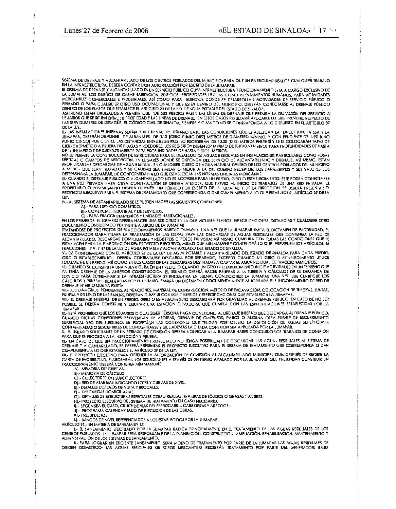SISTEMA DE DRENAJE Y ALCANTARILLADO DE LOS CENTROS POBLADOS DEL MUNICIPIO; PARA QUE UN PARTICULAR REALICE CUALQUIER TRABAJO EN LA INFRAESTRUCTURA. DEBERÁ CONTAR CON AUTORIZACIÓN POR ESCRITO DE LA JUMAPAB.

EL SISTEMA DE DRENAJE Y ALCANTARILLADO ES UN SERVICIO PÚBLICO CUYA INFRAESTRUCTURA Y FUNCIONAMIENTO ESTA A CARGO EXCLUSIVO DE<br>LA JUMAPAB, LOS DUEÑOS DE CASAS-HABITACIÓN, EDIFICIOS, PROPIEDADES USADAS COMO ASENTAMIENTOS HUM PRIVADO O PARA CUALQUIER OTRO USO OCUPACIONAL Y QUE ESTÉN DENTRO DEL MUNICIPIO, DEBERÁN CONECTARSE AL DRENAJE PUBLICO DENTRO DE LOS PLAZOS QUE ESTABLECE EL ARTÍCULO 23 DE LA LEY DE AGUA POTABLE DEL ESTADO DE SINALOA.

ASI MISMO ESTÁN OBUGADOS A PERMITR QUE POR SUS PREDIOS PASEN LAS LÍNEAS DE DRENAJE QUE PERMITA LA DOTACIÓN DEL SERVICIO A<br>USUARIOS QUE SE SITÚEN ENTRE SU PROPIEDAD Y LAS LÍNEAS DE DRENAJE: EN ESTOS CASOS RESULTARÁ APLICABL LAS SERVIDUMBRES DE DESAGÛE, EL CÓDIGO CIVIL DE SINALOA, SIEMPRE Y CUANDO NO SE CONTRAPONGA A LO DISPUESTO EN EL ARTÍCULO 89 DE LA LEY.

DE ENSIMINACIONES INTERNAS SERÁN POR CUENTA DEL USUARIO BAJO LAS CONDICIONES QUE ESTABLEZCAN LA DIRECCION, LA SSA Y LA<br>JUMAPAB, DEBERÁN DISPONER DE ALBAÑALES DE 0.10 (CERO PUNTO DIEZ) METROS DE DIÁMETRO MÍNIMO. Y CON PENDI CIERRE HERMÉTICO A PRUEBA DE PLAGAS Y ROEDORES, LOS REGISTROS DEBEN SER MINIMO DE 0.40X0.60 METROS PARA PROFUNDIDADES DE HASTA DE 1 (UN) METRO Y DE 0.50X0,70 METROS PARA PROFUNDIDADES DE HASTA 2 [DOS] METROS.<br>NO SE PERMITE LA CONSTRUCCIÓN DE ESTRUCTURAS PARA EL DESALOJO DE AGUAS RESIDUALES EN INSTALACIONES PARTICULARES COMO FOSAS

SÉPIICAS O CAMPOS DE ABSORCIÓN, EN LUGARES DONDE SE DISPONGA DEL SERVICIO DE ALCANTARILLADO Y DRENAJE. ASÍ MISMO, ESTÁN PROHIBIDAS LAS DESCARGAS DE AGUA RESIDUAL EN CUALQUIER CURSO DE AGUA NATURAL DENTRO DE LOS CENTROS POBLADOS DEL MUNICIPIO<br>A MENOS QUE SEAN TRATADAS Y SU CAUDAD SEA SIMILAR O MEJOR A LA DEL CUERPO RECEPTOR; LOS PARÁMETROS Y

II.- CUANDO EL DRENAJE PÚBLICO O ALCANTARILLADO NO ES ACCESIBLE PARA UN PREDIO, GIRO O ESTABLECIMIENTO, ÉSTE PODRÁ CONECTARSE A UNA RED PRIVADA PARA CUYA CONSTRUCCIÓN SE DEBERÁ ATENDER, QUE PREVIO AL INICIO DE TRABAJOS DE UNA RED PRIVADA, EL PROPIETARIO O POSESIONARIO DEBERÁ OBTENER UN PERMISO POR ESCRITO DE LA JUMAPAB Y DE LA DIRECCION, SE DEBER LEY.

IV.- AL SISTEMA DE ALCANTARILLADO SE LE PUEDEN HACER LAS SIGUIENTES CONEXIONES:

A] - PARA SERVICIO DOMÉSTICO.<br>B} - COMERCIAL, INDUSTRIAL Y DE SERVICIOS.

CI .- PARA FRACCIONAMIENTOS Y UNIDADES HABITACIONALES.

EN LOS PRIMEROS, EL USUARIO DEBERÁ HACER UNA SOLICITUD EN LA QUE INCLUIRÁ PLANOS, ESPECIFICACIONES, DISTANCIAS Y CUALQUIER OTRO

DOCUMENTO CONSIDERADO PERTINENTE A JUICIO DE LA JUMAPAB.<br>TRATÁNDOSE DE PROYECTOS DE FRACCIONAMIENTOS HABITACIONALES Y, UNA VEZ QUE LA JUMAPAB EMITA EL DICTAMEN DE PACTIBILIDAD. EL INCORDINATION CARANTIZARÁ LA REALIZACIÓN DE LAS OBRAS PARA LAS DESCARGAS DE AGUAS RESIDUALES QUE CONTENGA LA RED DE<br>ALCANTARILLADO, DESCARGAS DOMICILIARIAS Y REGISTROS O POZOS DE VISITA; ASÍ MISMO CUMPLIRÁ CON TODAS LAS CO FRACCIONES II Y V, Y 47 DE LA LEY DE AGUA POTABLE Y ALCANTARILLADO DEL ESTADO DE SINALOA.

INCORDINATION IN THE CONFORMIDAD CONTRACTOR AND EXAMPLE TO A CONFORMER THE CONFORMED DE SINALOA PARA CADA PREDIO,<br>GIRO O ESTABLECIMIENTO, DEBERÁ CONTRATARSE DESCARGA POR SEPARADO, EXCEPTO CUANDO UN GIRO O ESTABLECIMIENTO U

I DIARMENTE UN TREDUCTAT QUE CONSTRUCCIÓN, EL USUARIO DE DE MADALIA CARTIALE CHARDO INCE ACTIVIDADES EN UN TERRENO QUE<br>TA TENÍA DRENAJE DE LA ANTERIOR CONSTRUCCIÓN, EL USUARIO DEBERÁ HACER PRUEBAS A LA TUBERÍA Y CÁLCULOS D SERVICIO PARA DETERMINAR SI LA INFRAESIRUCTURA SE ENCUENTRA EN BUENAS CONDICIONES; LA JUMAPAB, UNA VEZ QUE CERTIFIQUE LOS<br>CÁLCULOS Y PRUEBAS REALIZADAS POR EL USUARIO, EMITIRÁ UN DICTAMEN Y DOCUMENTALMENTE AUTORIZARÁ EL FU DRENAJE INTERNO QUE YA EXISTÍA.

DILANDE MILITANO DE LA DINICIONE MATERIAL DE CONSTRUCCIÓN, MÉTODO DE EXCAVACIÓN, COLOCACIÓN DE TUBERÍAS, JUNTAS<br>PRUEBA Y RELLENO DE LAS ZANJAS, DEBERÁN CUMPLIR CON LOS CRITERIOS Y ESPECIFICACIONES QUE ESTABLEZCA LA JUMAPAB

POSIBLE, SE DEBERÁ CONSTRUIR Y EQUIPAR UNA ESTACIÓN ELEVADORA QUE CUMPLA CON LAS ESPECIFICACIONES ESTABLECIDAS POR LA **JUMAPAB** 

IX- ESTÁ PROHIBIDO QUE LOS USUARIOS O CUALQUIER PÉRSONA HAGA CONEXIONES AL DREIVAJE INTERNO QUE DESCARGA AL DRENAJE PÚBLICO, IX.- ESTA PROHIBIDO QUE LOS USUARIOS O CUALQUIER PERSONA HAGA CONEXIONES AL DRENATA DE ALGUNA OTRA FUENE DE ESCURRIMENTO<br>CUANDO DICHAS CONEXIONES PROVENGAN DE AZOTEAS, DRENAJE DE CIMIENTOS, PATIOS O ALGUNA OTRA FUENE DE ES

PARA QUE SE PROCEDA A LA INSPECCIÓN Y PRUEBA.

XI .- EN CASO DE QUE UN FRACCIONAMIENTO PROYECTADO NO TENGA POSIBILIDAD DE DESCARGAR LAS AGUAS RESIDUALES AL SISTEMA DE DRENAJE Y ALCANTARILLADO, SE DEBERÁ PRESENTAR EL PROYECTO EJECUTIVO PARA EL SISTEMA DE TRATAMIENTO QUE CORRESPONDA O DAR<br>CUMPLIMIENTO A LO QUE ESTABLECE EL ARTÍCULO B9 DE LA LEY.

COMMENT UNIQUE A LOCALIZATION PARA OBTENER LA AUTORIZACIÓN DE CONEXIÓN AL ALCANTARILLADO MUNICIPAL OUE, DESPUÉS DE RECIBIR LA<br>CARTA DE FACTIBILIDAD, ELABORARÁN LOS SOUCITANTES A TRAVÉS DE UN PERITO AVALADO POR LA JUMAPAB Q FRACCIONAMIENTO DEBERÁ CONTENER MÍNIMAMENTE:<br>A) - MEMORIA DESCRIPTIVA.

B. - MEMORIA DE CÁLCULO.

C] .- COLECTORES Y/O SUBCOLECTORES.<br>D] .- RED DE ATARJEAS INDICANDO LOTES Y CURVAS DE NIVEL.

E). DETALLES DE POZOS DE VISITA Y BROCALES.

FI- DESCARGAS DOMICILIARIAS.

GJ - DETALLES DE ESTRUCTURAS ESPECIALES COMO REJILLAS, TRAMPAS DE SÓLIDOS O GRASAS Y ACEITES.<br>HJ - PROYECTO EJECUTIVO DEL SISTEMA DE TRATAMIENTO EN CASO NECESARIO.

I. SEGÚN SEA EL CASO, CRUCE DE VÍAS DEL FERROCARRIL, CARRETERAS Y ARROYOS.

J. PROGRAMA CALENDARIZADO DE EJECUCIÓN DE LAS OBRAS.

KI .- PRESUPUESTOS.

LI.- BANCOS DE NIVEL REFERENCIADOS A LOS ESTABLECIDOS POR LA JUMAPAB.

ARTÍCULO 93,- EN MATERIA DE SANEAMIENTO:

LE SANEAMIENTO EFECTUADO POR LA JUMAPAB RADICA PRINCIPALMENTE EN EL TRATAMIENTO DE LAS AGUAS RESIDUALES DE LOS<br>CENTROS POBLADOS. LA JUMAPAB SERÁ RESPONSABLE DE LA PLANEACIÓN, CONSTRUCCIÓN, AMPLIACIÓN, REHABILITACIÓN, MANTE

II.- PARA LOGRAR UN EFICIENTE SANEAMIENTO, SERÁ MOTIVO DE TRATAMIENTO POR PARTE DE LA JUMAPAB LAS AGUAS RESIDUALES DE ORIGEN DOMÉSTICO; LAS AGUAS RESIDUALES DE GIROS MERCANTILES RECIBIRÁN TRATAMIENTO POR PARTE DEL GENERADOR; BAJO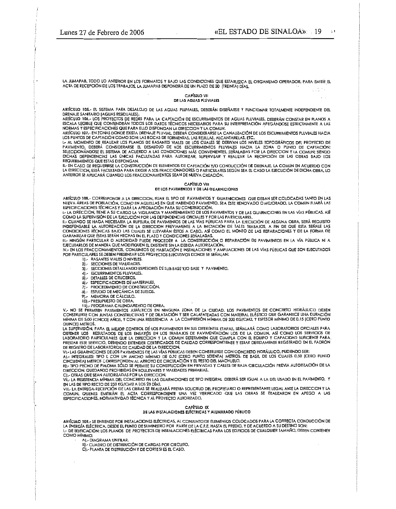LA JUMAPAB. TODO LO ANTERIOR EN LOS FORMATOS Y BAJO LAS CONDICIONES QUE ESTABLEZCA EL ORGANISMO OPERADOR. PARA EMITIR EL ACTA DE RECEPCIÓN DE LOS TRABAJOS, LA JUMAPAB DISPONDRÁ DE UN PLAZO DE 30 [TREINTA] DÍAS.

#### CAPITULO VII DE LAS AGUAS PLUVIALES

ARTÍCULO 105.- EL SISTEMA PARA DESALOJO DE LAS AGUAS PLUVIALES, DEBERÁN DISEÑARSE Y FUNCIONAR TOTALMENTE INDEPENDIENTE DEL DRENAJE SANITARIO (AGUAS RESIDUALES).

ARTÍCULO 104,- LOS PROYECTOS DE REDES PARA LA CAPTACIÓN DE ESCURRIMIENTOS DE AGUAS PLUVIALES, DEBERÁN CONSTAR EN PLANOS A ESCALA LEGIBLE QUE CONTENDRÁN TODOS LOS DATOS TÊCNICOS NECESARIOS PARA SU INTERPRETACIÓN APEGÁNDOSE ESTRICTAMENTE A LAS NORMAS Y ESPECIFICACIONES QUE PARA ELLO DISPONGAN LA DIRECCION Y LA COMUN.

ARTÍCULO 107.- EN ZONAS DONDE EXISTA DRENAJE PLUVIAL, DEBERÁ CONSIDERARSE LA CANALIZACIÓN DE LOS ESCURRIMIENTOS PLUVIALES HACIA LOS PUNTOS DE CAPTACIÓN COMO SON; LAS BOCAS DE TORMENTAS, LAS REJILLAS, ALCANTARILLAS, ETC.

I .- AL MOMENTO DE REALIZAR LOS PLANOS DE RASANTES VIALES DE LOS CUALES SE DERIVAN LOS NIVELES TOPOGRÁFICOS DEL PROYECTO DE PAVIMENTO, DEBERÁ CONSIDERARSE EL DESALDJO DE LOS ESCURRIMIENTOS PLUVIALES HACIA LA ZONA O PUNTO DE CAPTACIÓN;<br>SELECCIONÁNDOSE EL SISTEMA DE ACUERDO A LAS CONDICIONES MÁS CONVENIENTES, SERALADAS POR LA DIRECCION Y LA COMUN REQUERIMIENTOS QUE ESTAS DISPONGAN.

ILE EN CASO DE REQUERIRSE LA CONSTRUCCIÓN DE ELEMENTOS DE CAPTACIÓN Y/O CONDUCCIÓN DE DRENAJE. LA COMUN EN ACUERDO CON<br>LA DIRECCION, ESTÁ FACULTADA PARA EXIGIR A LOS FRACCIONADORES O PARTICULARES SEGÚN SEA EL CASO LA EJECU ANTERIOR SE APLICARÁ CÚANDO LOS FRACCIONAMIENTOS SEAN DE NUEVA CREACIÓN.

#### CAPITULO VIII

#### DE LOS PAVIMENTOS Y DE LAS GUARNICIONES

ARTÍCULO 108.- CORRESPONDE A LA DIRECCION, FIJAR EL TIPO DE PAVIMENTOS Y GUARNICIONES QUE DEBAN SER COLOCADAS TANTO EN LAS NUEVA ÁREAS DE POBLACIÓN, COMO EN AQUELLAS EN QUE HABIENDO PAVIMENTO, SEA ÉSTE RENOVADO O MEJORADO, LA COMUN FIJARÁ LAS<br>ESPECIFICACIONES TÉCNICAS Y DARÁ LA APROBACIÓN PARA SU CONSTRUCCIÓN.

LE LA DIRECCION, TIENE A SU CARGO LA VIGILANCIA Y MANTENIMIENTO DE LOS PAVIMENTOS Y DE LAS GUARNICIONES EN LAS VÍAS PÚBLICAS, ASÍ<br>LE LA DIRECCION, TIENE A SU CARGO LA VIGILANCIA Y MANTENIMIENTO DE LOS PAVIMENTOS Y DE LAS G

II. CUANDO SE HAGA NECESARIA LA RUPIURA DE PAVIMENTOS DE LAS VÍAS PÚBLICAS PARA LA EJECUCIÓN DE ALGUNA OBRA, SERÁ REQUISITO<br>INDISPENSABLE LA AUTORIZACIÓN DE LA DIRECCION PREVIAMENTE A LA INICIACIÓN DE TALES TRABAJOS, A FIN GARANTIZAR QUE ESTAS SERÁN HECHAS EN EL PLAZO Y CONDICIONES SEÑALADAS.

III.- NINGÚN PARTICULAR O AUTORIDAD PUEDE PROCEDER A LA CONSTRUCCIÓN O REPARACIÓN DE PAVIMENTOS EN LA VÍA PÚBLICA NI A<br>EJECUTARLOS DE MANERA QUE MODIFIQUEN EL EXISTENTE SIN LA DEBIDA AUTORIZACIÓN.

IV.- EN LOS FRACCIONAMIENTOS, CONJUNTOS DE HABITACIÓN E INSTALACIONES Y AMPLIACIONES DE LAS VÍAS PÚBLICAS QUE SON EJECUTADOS POR PARTICULARES SE DEBEN PRESENTAR LOS PROYECTOS EJECUTIVOS DONDE SE SEÑALAN:

- 11.- RASANTES VIALES O NIVELES.
- 2).- SECCIONES DE VIAUDADES.
- 3). SECCIONES DETALLANDO ESPESORES DE SUB-BASE Y/O BASE Y PAVIMENTO.
- 41.- ESCURRIMIENTOS PLUVIALES.
- 51.- DETALLES DE CRUCEROS.

4. ESPECIFICACIONES DE MATERIALES.

- S.<br>
7. PROCEDIMIENTO DE CONSTRUCCIÓN.<br>
8. ESTUDIO DE MECÁNICA DE SUELOS.<br>
9. MEMORIA DE CÁLCULO.
- 
- 
- **IDI-PRESUPUESTO DE OBRA.** 11).- PROGRAMA CALENDARIZADO DE OBRA.

V. NO SE PERMITEN PAVIMENTOS ASFÁLTICOS EN NINGUNA ZONA DE LA CIUDAD. LOS PAVIMENTOS DE CONCRETO HIDRÁULICO DEBEN<br>CONSTRUIRSE CON JUNTAS CONSTRUCTIVAS Y DE DILATACIÓN Y SER CALAFATEADAS CON MATERIAL ELÁSTICO QUE GARANTICE

MÍNIMA DE 5.00 (CINCO) AÑOS, Y CON UNA RESISTENCIA A LA COMPRESIÓN MÍNIMA DE 300 KG/CM2, Y ESPESOR MÍNIMO DE 0.15 (CERO PUNTO QUINCE) METROS.

UMINICATIONS.<br>LA SUPERVISIÓN, PARA EL MEJOR CONTROL DE LOS PAVIMENTOS EN SUS DIFERENTES ETAPAS, SEÑALARÁ COMO LABORATORIOS OFICIALES PARA<br>OBTENER LOS RESULTADOS DE LOS ENSAYÓS EN LOS TRABAJOS DE PAVIMENTACIÓN LOS DE LA COM PRESTAR ESTE SERVICIO, DEBIENDO EXTENDER CERTIFICADOS DE CALIDAD CORRESPONDIENTE Y ESTAR DEBIDAMENTE REGISTRADO EN EL PADRÓN

DE REGISTRO DE LABORATORIOS DE CALIDAD DE LA DIRECCIÓN.<br>VI.- LAS GUARNICIONES DE LOS PAVIMENTOS DE LAS VÍAS PÚBLICAS DEBEN CONSTRUIRSE CON CONCRETO HIDRÁULICO, PUDIENDO SER:<br>A).- INTEGRALES: TIPO L CON UN ANCHO MÍNIMO DE 0

CINCUENTA) METROS CORRESPONDEN AL ARROYO DE CIRCULACIÓN Y EL RESTO DEL MACHUELO.<br>EL - TIPO PECHO DE PALOMA SÓLO SE PERMITE SU CONSTRUCCIÓN EN PRIVADAS Y CALLES DE BAJA CIRCULACIÓN PREVIA AUTORIZACIÓN DE LA

DIRECCION, QUEDANDO PROHIBIDAS EN BOULEVARES Y VIALIDADES PRIMARIAS. CJ .- OTRAS QUE SEAN AUTORIZADAS POR LA DIRECCION.

VIL- LA RESISTENCIA MÍNIMA DEL CONCRETO EN LAS GUARNICIONES DE TIPO INTEGRAL DEBERÁ SER IGUAL A LA DEL USADO EN EL PAVIMENTO, Y EN LAS DE TIPO RECTO DE 250 KG/CM2 A LOS 28 DÍAS.

VIII - LA ENTREGA-RECEPCIÓN DE LAS OBRAS SE REALIZARÁ PREVIA SOLICITUD DEL PROPIETARIO O REPRESENTANTE LEGAL ANTE LA DIRECCION Y LA COMUN, QUIENES EMITIRAN EL ACTA CORRESPONDIENTE UNA VEZ VERIFICADO QUE LAS OBRAS SE REALIZARON EN APEGO A LAS<br>ESPECIFICACIONES, NORMATIVIDAD TÉCNICA Y AL PROYECTO AUTORIZADO,

> CAPÍTULO IX DE LAS INSTALACIONES ELÉCTRICAS Y ALUMBRADO PÚBUCO

ARTÍCULO 109.- SE ENTIENDE POR INSTALACIONES ELÉCTRICAS, AL CONJUNTO DE ELEMENTOS COLOCADOS PARA LA CORRECTA CONDUCCIÓN DE LA ENERGÍA ELÉCTRICA, DESDE EL PUNTO DE SUMINISTRO POR PARTE DE LA C.F.E. HASTA EL PREDIO, Y DE ACUERDO A SU DESTINO SON:<br>I.- DE EDIFICACIÓN; LOS PLANOS DE PROYECTOS DE INSTALACIONES ELÉCTRICAS PARA LOS EDIFICIOS DE CUALQU

COMO MÍNIMO: AI .- DIAGRAMA UNIFILAR.

B) - CUADRO DE DISTRIBUCIÓN DE CARGAS POR CIRCUITO.

CI .- PLANTA DE DISTRIBUCIÓN Y DE CORTE SI ES EL CASO.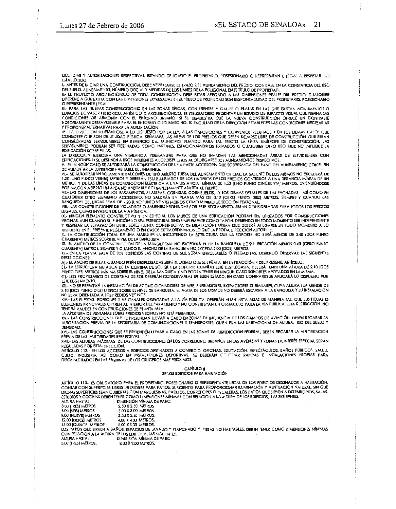LICENCIAS Y AUTORIZACIONES RESPECTIVAS, ESTANDO OBLIGADO EL PROPIETARIO, POSESIONARIO O REPRESENTANTE LEGAL A RESPETAR LO **ESTABLECIDO.** 

I.- ANTES DE INICIAR UNA CONSTRUCCIÓN, DEBE VERIFICARSE EL TRAZO DEL AUNEAMIENTO DEL PREDIO, CON BASE EN LA CONSTANCIA DEL USO

DEL SUELO, ALINEAMENTO, NÚMERO OFICIAL Y MEDIDAS DE LOS LÍMITES DE LA POLIGONAL EN EL TÍTULO DE PROPIEDAD.<br>IL- EL PROYECTO ARQUITECTÓNICO DE TODA CONSTRUCCIÓN DEBE ESTAR APEGADO A LAS DIMENSIONES REALES DEL PREDIO. CUALQUI O REPRESENTANTE LEGAL.

III.- PARA LAS NUEVAS CONSTRUCCIONES EN LAS ZONAS TÍPICAS. CON FRENTES A CALLES O PLAZAS EN LAS QUE EXISTAN MONUMENTOS O EDIFICIOS DE VALOR HISTÓRICO, ARTÍSTICO O ARQUITECTÓNICO, ES OBLIGATORIO PRESENTAR UN ESTUDIO DE IMPACTO VISUAL QUE DEFINA LAS<br>CONDICIONES DE ARMONÍA CON EL ENTORNO URBANO. SI SE DEMUESTRA QUE LA NUEVA CONSTRUCCIÓN OFRECE Y PROPONER ALTERNATIVAS PARA LA AUTORIZACIÓN.

SERVIDUMBRES PODRÁN SER DESTINADAS COMO JARDINES, ESTACIONAMIENTOS PRIVADOS O CUALQUIER OTRO USO QUE NO IMPLIQUE LA EDIFICACIÓN SOBRE ELLAS.

EDIFICACION SUBRETLIAS.<br>LA DIRECCION ELERCERÀ UNA VIGILANCIA PERMANENTE PARA QUE NO INVADAN LAS MENCIONADAS ÁREAS DE SERVIDUMBRE CON<br>EDIFICACIONES, O SE DESTINEN A USOS DIFERENTES A LOS DISPUESTOS AL OTORGARSE LOS ALINEAMI

V.- EN NINGÚN CASO SE AUTORIZARÁ LA CONSTRUCCIÓN DE UNA PARTE ACCESORIA QUE SOBRESALGA DEL PAÑO DEL ALINEAMIENTO CON EL FIN DE AUMENTAR LA SUPERFICIE HABITABLE DEL INMUEBLE.

VI .- SE AUTORIZARÁN SOLAMENTE BALCONES DE TIPO ABIERTO FUERA DEL AUNEAMIENTO OFICIAL. LA SALIENTE DE LOS MISMOS NO EXCEDERÁ DE 1.20 (UNO PUNTO VEINTE) METROS Y DEBERÁN ESTAR ALEJADOS DE LOS LINDEROS DE LOS PREDIOS CONTIGUOS A UNA DISTANCIA MÍNIMA DE UN METRO. Y DE LAS LINEAS DE CONDUCCIÓN ELÉCTRICA A UNA DISTANCIA MÍNIMA DE 1.50 JUNO PUNTO CINCUENTAJ METROS. ENTENDIÉNDOSE

MEINTO, THE CAS DIRECT UN ÁREA NO HABITABLE Y COMPLETAMENTE ABIERTA AL FRENTE.<br>THE SALCON ABIERTO UN ÁREA NO HABITABLE Y COMPLETAMENTE ABIERTA AL FRENTE.<br>THE - LAS DIMENSIONES DE LOS BASAMENTOS, PILASTRAS, CORNISAS, CORNIZ

VIII.- LAS CONSTRUCCIONES DE VOLADIZOS O SAUENTES PROHIBIDAS POR ESTE REGLAMENTO, SERÁN CONSIDERADAS PARA TODOS LOS EFECTOS<br>LEGALES, COMO INVASIÓN DE LA VÍA PÚBLICA.

IX.- NINGUN ELEMENTO CONSTRUCTIVO Y EN ESPECIAL LOS MUROS DE UNA EDIFICACIÓN PODRÁN SER UTILIZADOS POR CONSTRUCCIONES VECINAS, AUN CUANDO SU FUNCIÓN NO SEA ESTRUCTURAL SINO SIMPLEMENTE COMO TAPÓN. DEBIENDO EN TODO MOMENTO SER INDEPENDIENTE<br>Y RESPETAR LA SEPARACIÓN ENTRE LOTES (JUNTA CONSTRUCTIVA DE DILATACIÓN) MISMA QUE DEBERÁ APEGARSE EN

X- LA CONSTRUCCIÓN TOTAL DE UNA MARQUESINA INCLUYENDO LA ESTRUCTURA QUE LA SOPORTE NO SERÁ MENOR DE 2.40 (DOS PUNTO CUARENTA) METROS SOBRE EL NIVEL DE LA BANQUETA.

XI .- EL ANCHO DE LA CONSTRUCCIÓN DE LA MARQUESINA NO EXCEDERÁ EL DE LA BANQUETA DE SU UBICACIÓN MENOS 0.40 (CERO PUNTO CUARENTA] METROS, SIEMPRE Y CUANDO EL ANCHO DE LA BANQUETA NO EXCEDA 2.00 [DOS] METROS. XII - EN LA PLANTA BAJA DE LOS EDIFICIOS LAS CORTINAS DE SOL SERÁN ENROLLABLES O PLEGADIZAS, DEBIENDO OBSERVAR LAS SIGUIENTES

RESTRICCIONES:

AL-FLANCHO DE FILAS, CIJANDO ESTÉN DESPLEGADAS SERÁ EL MISMO QUE SE SEÑALA, EN LA ERACCIÓN X DEL PRESENTE ARTÍCULO.

BL- LA ESTRUCTURA METÀUCA DE LA CORTINA DE SOL QUE LA SOPORTE CUANDO ESTÉ DESPLEGADA, DEBERÁ TENER UNA ALTURA DE 2.10 (DOS PUNTO DIEZI METROS MÍNIMA SOBRE EL NIVEL DE LA BANQUETA Y NO PODRÁ TENER EN NINGÚN CASO SOPORTES APOYADOS EN LA MISMA C) - LOS PROPIETARIOS DE CORTINAS DE SOL DEBERÁN CONSERVARLAS EN BUEN ESTADO, EN CASO CONTRARIO SE APLICARÁ LO DISPUESTO POR

**ESTE REGLAMENTO** XIII.- NO SE PERMITIRÁ LA INSTALACIÓN DE ACONDICIONADORES DE AIRE, ENFRIADORES, EXTRACTORES O SIMILARES, CUYA ALTURA SEA MENOR DE 2.10 (DOS PUNIO DIEZ) METROS SOBRE EL NIVEL DE BANQUETA. EL AGUA DE LOS MISMOS NO DEBERÁ ESCURRIR A LA BANQUETA Y SU INSTALACIÓN

STORIENTADA A LOS PREDIOS VECINOS.<br>NO SERÁ ORIENTADA A LOS PREDIOS VECINOS.<br>XIV.- LAS PUERTAS, PORTONES Y VENTANALES ORIENTADAS A LA VÍA PÚBLICA, DEBERÁN ESTAR INSTALADAS DE MANERA TAL, QUE SUS HOJAS O ELEMENTOS PRINCIPALES OPEREN AL INTERIOR DEL PARAMENTO Y NO CONSTITUYAN UN OBSTÁCULO PARA LA VÍA PÚBLICA. ESTA RESTRICCIÓN NO TENDRÁ VAUDEZ EN CONSTRUCCIONES DE PLANTA ALTA

LA APERTURA DE VENTANAS SOBRE PREDIOS VECINOS NO ESTÁ FERMITIDA.<br>XV.- LAS CONSTRUCCIONES QUE SE PRETENDAN LLEVAR A CABO EN ZONAS DE INFLUENCIA DE LOS CAMPOS DE AVIACIÓN, DEBEN RECABAR LA AUTORIZACIÓN PREVIA DE LA SECRETARÍA DE COMUNICACIONES Y TRANSPORTES, QUIEN FIJA LAS LIMITACIONES DE ALTURA, USO DEL SUELO Y DENSIDAD.<br>DENSIDAD.<br>XVI.- LAS CONSTRUCCIONES QUE SE PRETENDEN LLEVAR A CABO EN LAS ZONAS DE JURISDICCIÓN FEDERAL, DEBEN RECABAR LA AUTORIZACIÓN

PREVIA DE LAS AUTORIDADES RESPECTIVAS.

XVII.- LAS ALTURAS MÁXIMAS DE LAS CONSTRUCCIONES EN LOS CORREDORES URBANOS EN LAS AVENIDAS Y ZONAS DE INTERES ESPECIAL SERÁN REGULADAS POR ESTA DIRECCION.

KEULADAS FUR ESIA DIRECLION.<br>ARTÍCULO 112.- EN LOS ACCESOS A EDIFICIOS DESTINADOS A COMERCIO, OFICINAS, EDUCACIÓN, ESPECTÁCULOS. BAÑOS PÚBLICOS, SALUD,<br>CULTO, INDUSTRIA, ASÍ COMO EN INSTALACIONES DEPORTIVAS, SE DEBERÁN COL DISCAPACITADOS EN LAS ESQUINAS DE LOS CRUCEROS MÁS PRÓXIMOS.

# CAPÍTULO II

### DE LOS EDIFICIOS PARA HABITACIÓN

ARTÍCULO 113.- ES OBLIGATORIO PARA EL PROPIETARIO, POSESIONARIO O REPRESENTANTE LEGAL DE LOS EDIFICIOS DESTINADOS A HABITACIÓN, CONTAR CON SUPERFICIES LIBRES INTERIORES PARA PATIOS, SUFICIENTES PARA PROPORCIONAR ILUMINACIÓN Y VENTILACIÓN NATURAL, SIN QUE DICHAS SUPERFICIES SEAN CUBIERTAS CON MARQUESINAS, FASILLOS, CORREDORES O ESCALERAS, LOS PATIOS QUE SIRVEN A DORMITORIOS, SALAS, ESTUDIOS Y COCINAS DEBEN TENER COMO DIMENSIONES MÍNIMAS CON RELACIÓN A LA ALTURA DE LOS EDIFICIOS, LAS SIGUIENTES:<br>ALTURA HASTA: DIMENSIÓN MÍNIMA DE PATIO:

3,00 (TRES) METROS **2.50 X 2.50 METROS 6.00 SEIS) METROS** 3.00 X 3.00 METROS. 9.00 INVEVEL METROS 3.50 X 3.50 METROS. 12.00 IDOCEL METROS 4.00 X 4.00 METROS. 15.00 [QUINCE] METROS 5.00 X 5.00 METROS. LOS PATIOS QUE SIRVEN A BAROS, ESPACIOS DE LAVADO Y PLANCHADO Y PIEZAS NO HABITABLES, DEBEN TENER COMO DIMENSIONES MÍNIMAS

CON RELACIÓN A LA ALTURA DE LOS EDIFICIOS, LAS SIGUIENTES:<br>ALTURA HASTA: DIMENSIÓN MÍNIMA DE PATIO:

3.00 (TRES) METROS. 2.00 X 2.00 METROS.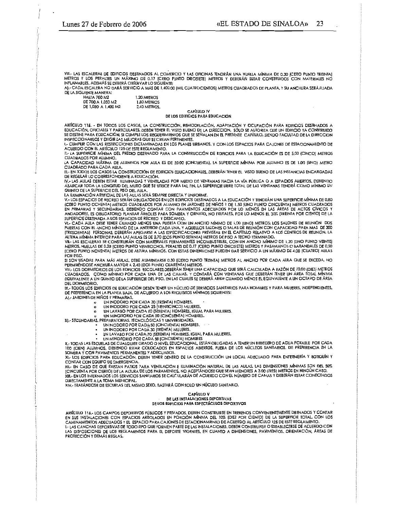VIII.- LAS ESCALERAS DE EDIFICIOS DESTINADOS AL COMERCIO Y LAS OFICINAS TENDRÁN UNA RUELLA MÍNIMA DE 0.30 ICERO PUNTO TREINTAT METROS Y LOS PERALTES UN MÁXIMO DE 0.17 (CERO PUNTO DIECISIETE) METROS Y DEBERÁN ESTAR CONSTRUIDOS CON MATERIALES NO INFLAMABLES, ADEMAS SE DEBERA OBSERVAR LO SIGUIENTE;

A) .- CADA ESCALERA NO DARÁ SERVICIO A MAS DE 1,400.00 (MIL CUATROCIENTOS) METROS CUADRADOS DE PLANTA, Y SU ANCHURA SERÁ FIJADA DE LA SIGUIENTE MANERA:

| <b>HASTA 700 M2</b> | 1.20 METROS        |
|---------------------|--------------------|
| DE 700 A 1.050 M2   | <b>1.80 METROS</b> |
| DE 1.050 A 1.400 M2 | 2.40 METROS.       |

#### CAPITULO IV DE LOS EDIFICIOS PARA EDUCACIÓN

ARTÍCULO 115. - EN TODOS LOS CASOS, LA CONSTRUCCIÓN, REMODELACIÓN, ADAPTACIÓN Y OCUPACIÓN PARA EDIFICIOS DESTINADOS A<br>EDUCACIÓN, OFICIALES Y PARTICULARES, DEBEN TENER EL VISTO BUENO DE LA DIRECCION. SÓLO SE AUTORIZA QUE UN INSPECCIONARLOS Y EXIGIR LAS MEJORAS QUE SE CREAN PERTINENTES.

I- CUMPUR CON LAS RESTRICCIONES DICTAMINADAS EN LOS PLANES URBANOS, Y CON LOS ESPACIOS PARA CAJONES DE ESTACIONAMIENTO DE ACUERDO CON EL ARTÍCULO 125-DE ESTE REGLAMENTO.

II.- LA SUPERFICIE MÍNIMA DEL PREDIO DESTINADO PARA LA CONSTRUCCIÓN DE EDIFICIOS PARA LA EDUCACIÓN ES DE 5,00 (CINCO) METROS CUADRADOS POR ALUMNO.

LA CAPACIDAD MÁXIMA DE ALUMNOS POR AULA ES DE 50.00 (CINCUENTA). LA SUPERFICIE MÍNIMA POR ALUMNO ES DE 1.00 (UNO) METRO CUADRADO PARA CADA AULA.

III.- EN TODOS LOS CASOS LA CONSTRUCCIÓN DE EDIFICIOS EDUCACIONALES, DEBERÁN TENER EL VISTO BUENO DE LAS INSTANCIAS ENCARGADAS DE REGULAR LO CORRESPONDIENTE A EDUCACIÓN.

IV.- LAS AULAS DEBEN ESTAR ILUMINADAS Y VENTILADAS POR MEDIO DE VENTANAS HACIA LA VÍA PÚBLICA O A ESPACIOS ABIERTOS, DEBIENDO<br>ABARCAR TODA LA LONGITUD DEL MURO QUE SE UTILICE PARA TAL FIN, LA SUPERFICIE LIBRE TOTAL DE LAS QUINTO DE LA SUPERFICIE DEL PISO DEL AULA.

LA ILUMINACIÓN ARTIFICIAL DE LAS AULAS SERÁ SIEMPRE DIRECTA Y UNIFORME.

V.- LOS ESPACIOS DE RECREO SERÁN OBUGATORIOS EN LOS EDIFICIOS DESTINADOS A LA EDUCACIÓN Y TENDRÁN UNA SUPERFICIE MÍNIMA DE 0.80<br>(CERO PUNTO OCHENTA) METROS CUADRADOS POR ALUMNO EN JARDINES DE NIÑOS Y DE 1.50 (UNO PUNTO CIN EN PRIMARIAS Y SECUNDARIAS, DEBIENDO CONTAR CON PAVIMENTOS ADECUADOS POR LO MENOS EN LAS ÁREAS DE ACTOS CÍVICOS Y ANDADORES. ES OBLIGATORIO PLANTAR ÁRBOLES PARA SOMBRA Y ORNATO, NO FRUTALES, POR LO MENOS EL 30% (TREINTA POR CIENTO) DE LA SUPERFICIE DESTINADA A LOS ESPACIOS DE RECREO Y DESCANSO.<br>VI.- CADA AULA DEBE TENER CUANDO MENOS UNA PUERTA CON UN ANCHO MÍNIMO DE 1.00 [UNO] METROS; LOS SALONES DE REUNIÓN DOS

PUERTAS CON EL ANCHO MÍNIMO DE LA ANTERIOR CADA UNA, Y AQUELLOS SALONES O SALAS DE REUNIÓN CON CAPACIDAD PARA MAS DE 300 TRESCIENTAS) PERSONAS, DEBERÁN APEGARSE A LAS ESPECIFICACIONES PREVISTAS EN EL CAPÍTULO RELATIVO A LOS CENTROS DE REUNIÓN. LA<br>ALTURA MÍNIMA INTERIOR PARA LAS AULAS ES DE 2,70 (DOS PUNTO SETENTA) METROS DE PISO A TECHO TERM

METROS, HUELLAS DE 0.28 (CERO PUNTO VENTIOCHO), PERALTES DE 0.17 (CERO PUNTO DIECISIETE) METROS Y PASAMANOS O BARANDALES DE 0.90 (CERO PUNTO NOVENTA) METROS DE ALTURA MÍNIMOS. CON ESTAS DIMENSIONES PUEDEN DAR SERVICIO A UN MÁXIMO DE 4.00 [CUATRO] AULAS POR PISO.

SI SON USADAS PARA MÁS AULAS, DEBE AUMENTARSE 0.30 (CERO PUNTO TREINTA) METROS AL ANCHO POR CADA AULA QUE SE EXCEDA, NO PERMITÉNDOSE ANCHURA MAYOR A 2.40 (DOS PUNTO CUARENTA) METROS.

r EMMINISTICION DE LOS EDIFICIOS ESCOLARES DEBERÁN TENER UNA CAPACIDAD QUE SERÁ CALCULADA A RAZÓN DE 10.00 (DIEZ) METROS<br>CUADRADOS, COMO MÍNIMO POR CADA UNA DE LAS CAMAS, Y CONTARÁ CON VENTANAS QUE DEBERÁN TENER UN ÁREA TO DEL DORMITORIO.

IX.- TODOS LOS EDIFICIOS DE EDUCACIÓN DEBEN TENER UN NÚCLEO DE SERVICIOS SANITARIOS PARA HOMBRES Y PARA MUJERES, INDEPENDIENTES,<br>DE PREFERENCIA EN LA PLANTA BAJA, DE ACUERDO A LOS REQUISITOS MÍNIMOS SIGUIENTES:

- AI .- JARDINES DE NIÑOS Y PRIMARIAS.  $\mathbf{r}$ 
	- UN INODORO POR CADA 30 [TREINTA] HOMBRES.  $\mathbf{a}$
	- UN INODORO POR CADA 25 (VENTICINCO) MUJERES,<br>UN INODORO POR CADA 25 (VENTICINCO) MUJERES,<br>IN LAVABO POR CADA 40 (SESENTA) HOMBRES, IGUAL PARA MUJERES.
	- $\mathbf{a}$

UN MINGITORIO POR CADA 50 (CINCUENTA) HOMBRES.<br>B).- SECUNDARIAS, PREPARATORIAS, ECNOLÓGICAS Y UNIVERSIDADES.<br>B).- SECUNDARIAS, PREPARATORIAS, ECNOLÓGICAS Y UNIVERSIDADES.<br>UN INODORO POR CADA 50 (CINCUENTA) HOMBRES.

- -
	- UN LAVABO POR CADA 70 [SETENTA] HOMBRES, IGUAL PARA MUJERES.
- UN MINGITORIO POR CADA 50 (CINCUENTA) HOMBRES

X- TODAS LAS ESCUELAS DE CUALQUIER GRADO O NIVEL EDUCACIONAL, ESTÁN OBLIGADAS A TENER UN BEBEDERO DE AGUA POTABLE POR CADA 100 (CIEN) ALUMNOS, DEBIENDO ESTAR COLOCADOS EN ESPACIOS ABIERTOS, FUERA DE LOS NÚCLEOS SANITARIOS, DE PREFERENCIA EN LA SOMBRA Y CON PAVIMENTOS PERMANENTES Y ADECUADOS.

XI- LOS EDIFICIOS PARA EDUCACIÓN, DEBEN TENER DENTRO DE LA CONSTRUCCIÓN UN LOCAL ADECUADO PARA ENFERMERÍA Y BOTIQUÍN Y CONTAR CON EQUIPO DE EMERGENCIA.

XII.- EN CASO DE QUE EXISTAN PATIOS PARA VENTILACIÓN E ILUMINACIÓN NATURAL DE LAS AULAS, LAS DIMENSIONES MÍNIMAS SON DEL 50% XIII. EN LOS INTERNADOS LOS SERVICIOS SANTARIOS SE CALCULARÁN DE ACUERDO CON EL NÚMERO DE CAMAS Y DEBERÁN ESTAR CONECTADOS<br>I CINCUENTA POR CIERTOJ DE LA ALTURA DE LOS PARAMENTOS, NO ACEPTÁNDOSE QUE SEAN MENORES A 3.00 (TRE DIRECTAMENTE A LA TOMA MUNICIPAL.

XIV.- TRATÁNDOSE DE ESCUELAS DEL MISMO SEXO, BASTARÁ CON SOLO UN NÚCLEO SANITARIO.

#### CAPÍTULO V DE LAS INSTALACIONES DEPORTIVAS DE LOS EDIFICIOS PARA ESPECTÁCULOS DEPORTIVOS

ARTÍCULO 116 - LOS CAMPOS DEPORTIVOS PÚBLICOS Y PRIVADOS, DEBEN CONSTRUIRSE EN TERRENOS CONVENIENTEMENTE DRENADOS Y CONTAR ANIMAMENTOS ADECUADOS TELESPACIOS ARBOLADOS EN PORCIÓN MÍNIMA DEL 10% (DIEZ POR CIENTO) DE LA SUPERFICIE TOTAL. CON LOS<br>CAMINAMIENTOS ADECUADOS Y EL ESPACIO PARA CAJONES DE ESTACIONAMIENTO DE ACUERDO AL ARTÍCULO 125 DE EST LAS DISPOSICIONES DE LOS REGLAMENTOS PARA EL DEPORTE VIGENTES, EN CUANTO A DIMENSIONES, PAVIMENTOS, ORIENTACIÓN, ÁREAS DE PROTECCIÓN Y DEMÁS REGLAS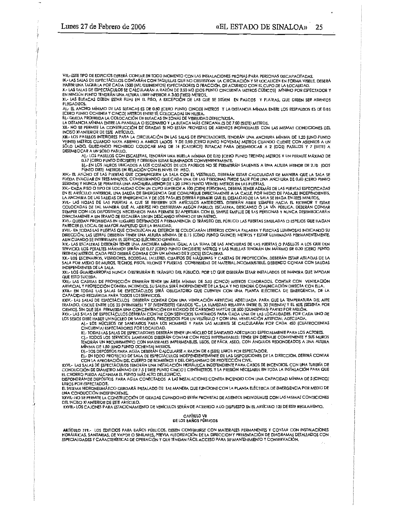VIII.- ESTE TIPO DE EDIFICIOS DEBERÁ CONTAR EN TODO MOMENTO CON LAS INSTALACIONES PROPIAS PARA PERSONAS DISCAPACITADAS. THE CONFIDENTIAL SUBSEXUAL CONTARAN CONTACTION CONTENTING ON THE CONTENT PROFINS PARA PERSONAS DISCAPACITADAS.<br>IN - LAS SALAS DE ESPECTÁCULOS CONTARÁN CON TAQUILLAS QUE NO OBSIRUYAN LA CIRCULACIÓN Y SE LOCALICEN EN FORMA V

X-LAS SALAS DE ESPECTÁCULOS SE CALCULARÁN A RAZÓN DE 2.50 M3 (DOS PUNTO CINCUENTA METROS CÚBICOS) MÍNIMO POR ESPECTADOR Y KI. LAS BUTACAS DEBEN ESTAR FIJAS EN EL PISO, A EXCEPCIÓN DE LAS QUE SE SITUEN EN PALCOS Y PLATEAS, QUE DEBEN SER ASIENTOS

PLEGADIZOS.

A).- EL ANCHO MÍNIMO DE LAS BUTACAS ES DE 0.50 (CERO PUNTO CINCO) METROS Y LA DISTANCIA MÍNIMA ENTRE LOS RESPALDOS ES DE 0.85 (CERO PUNTO OCHENTA Y CINCO) METROS ENTRE SÍ, COLOCADAS EN HILERA.

SAN TRANSPORTED A LA COLOCACIÓN DE BUTACAS EN ZONAS DE VISIBIUDAD DEFECTUOSA.<br>BI-QUEDA PROHIBIDA LA COLOCACIÓN DE BUTACAS EN ZONAS DE VISIBIUDAD DEFECTUOSA.<br>LA DISTANCIA MÍNIMA ENTRE LA PANTALLA O ESCENARIO Y LA BUTACA MÁS

XII.- NO SE PERMITE LA CONSTRUCCIÓN DE GRADAS SI NO ESTÁN PROVISTAS DE ASIENTOS INDIVIDUALES CON LAS MISMAS CONDICIONES DEL INCISO XI ANTERIOR DE ESTE ARTÍCULO.

A CONSIGNATION OF EXAMPLE TO A CONSIGNATION OF THE SALAS DE ESPECTADORES, TENDRÁN UNA ANCHURA MÍNIMA DE 1.20 (UNO PUNTO VINTO A CONSIGNATION OF A CONSIGNATION OF THE SALAM CONSIGNATION OF THE SALAM VEINTOS A UN VEINTOS A U DESEMBOCAR A UN SÓLO PASILLO.

A].- LOS PASILLOS CON ESCALERAS, TENDRÁN UNA HUELLA MÍNIMA DE 0.30 (CERO PUNTO TREINTA) METROS Y UN PERALTE MÁXIMO DE<br>0.17 (CERO PUNTO DIECISIETE) Y DEBERÁN ESTAR ILUMINADOS CONVENIENTEMENTE.<br>B].- EN LOS MUROS UBICADOS A L

PUNTO DIEZ | METROS EN RELACIÓN CON EL NIVEL DE PISO.

XIV.- EL ANCHO DE LAS PUERTAS QUE COMUNIQUEN LA SALA CON EL VESTÍBULO, DEBERÁN ESTAR CALCULADAS DE MANERA QUE LA SALA SE<br>PUEDA EVACUAR EN TRES MINUTOS. CONSIDERANDO QUE CADA UNA DE LAS PERSONAS PUEDE SALIR POR UNA ANCHURA

XV.- CADA PISO O TIPO DE LOCALIDAD CON UN CUPO SUPERIOR A 100 (CIEN) PERSONAS, DEBERÁ TENER ADEMÁS DE LAS PUERTAS ESPECIFICADAS EN EL ARTÍCULO ANTERIOR, UNA SAUDA DE EMERGENCIA QUE COMUNIQUE DIRECTAMENTE A LA CALLE, POR MEDIO DE PASAJES INDEPENDIENTES.<br>LA ANCHURA DE LAS SALIDAS DE EMERGENCIA Y DE LOS PASAJES DEBERÁ PERMIRR QUE EL DESALOJO DE LA SAL

COLOCADAS DE TAL MANERA QUE AL ABRIRSE NO OBSTRUYAN ALGÚN PASILLO, ESCALERA, DESCANSO Ó LA VÍA PÚBLICA. DEBERÁN CONTAR SIEMPRE CON LOS DISPOSITIVOS NECESARIOS PARA PERMITIR SU APERTURA CON EL SIMPLE EMPUJE DE LAS PERSONAS Y NUNCA DESEMBOCARÁN

XVII.- QUEDAN PROHIBIDAS EN LUGARES DESTINADOS A PERMANENCIA O TRÁNSITO DEL PÚBLICO LAS PUERTAS SIMULADAS O ESPEJOS QUE HAGAN PARECER EL LOCAL DE MAYOR AMPUTUD QUE LA REAUDAD,

XVIII.- EN TODAS LAS PUERTAS QUE CONDUZCAN AL EXTERIOR SE COLOCARÁN LETREROS CON LA PALABRA Y FLECHAS LUMINOSAS INDICANDO SU<br>DIRECCIÓN, LAS LETRAS DEBERÁN TENER UNA ALTURA MÍNIMA DE 0,15 JCERO PUNTO QUINCEI METROS Y ESTAR AUN CUANDO SE INTERRUMPA EL SERVICIO ELÉCTRICO GENERAL.

TOM TOUR AND THE MANUSCRIPT OF THE MANUSCRIPT OF THE MANUSCRIPT OF A SUMA DE LAS ANCHURAS DE LAS PUERTAS O PASILLOS A LOS QUE DEN<br>SERVICIO, LOS PERALTES MÁXIMOS SERÁN DE 0,17 (CERO PUNTO DIECISIETE) METROS Y LAS HUELLAS TE

XX. LOS ESCENARIOS, VESTIDORES, BODEGAS, TALLERES, CUARTOS DE MÁQUINAS Y CASETAS DE PROYECCIÓN, DEBERÁN ESTAR AISLADAS DE LA SALA POR MEDIO DE MUROS, TECHOS, PISOS, TELONES Y PUERTAS CONSTRUIDAS DE MATERIAL INCOMBUSTIBLE, DEBIENDO CONTAR CON SAUDAS INDEPENDIENTES DE LA SALA.

XXI .- LOS GUARDARROPAS NUNCA OBSTRUIRAN EL TRÁNSITO DEL PÚBLICO, POR LO QUE DEBERÁN ESTAR INSTALADOS DE MANERA QUE IMPIDAN QUE ESTO SUCEDA.

NOU DE SOCIÉTAS DE PROYECCIÓN DEBERÁN TENER UN ÁREA MÍNIMA DE 5.00 (CINCO) METROS CUADRADOS, CONTAR CON VENTILACIÓN<br>ARTIFICIAL Y PROTECCIÓN CONTRA INCENDIOS. SU SALIDA SERÁ INDEPENDIENTE DE LA SALA Y NO TENDRÁ COMUNICACIÓN CAPACIDAD REQUERIDA PARA TODOS LOS SERVICIOS.

XXIV.- LAS SALAS DE ESPECTÁCULOS DEBERÁN CONTAR CON UNA VENTILACIÓN ARTIFICIAL ADECUADA, PARA QUE LA TEMPERATURA DEL AIRE TRATADO, OSCILE ENTRE LOS 23 (VENTITRES) Y 27 [VEINTISIETE] GRADOS "C., LA HUMEDAD RELATIVA ENTRE EL 30 (TREINTA) Y EL 40% (SESENTA POR<br>CIENTO), SIN QUE SEA PERMITIDA UNA CONCENTRACIÓN DE BIÓXIDO DE CARBONO MAYOR DE 500 (Q

CHING TO BE A TERMINATION OF THE MAIL AND THE REAL AND THE REAL AND THE REAL AND THE REAL ASSALAS DE ESPECTÁCULOS DEBERÁN CONTAR CON SERVICIOS SANTARIOS PARA CADA UNA DE LAS LOCALIDADES. POR CADA UNO DE LOS SEXOS DEBE HABE

CINCUENTA] ESPECTADORES POR LOCALIDAD.

B] .- TODAS LAS SALAS DE ESPECTADORES DEBERÁN TENER UN NÚCLEO DE SANITARIO ADECUADO ESPECIALMENTE PARA LOS ACTORES.

C). TODOS LOS SERVICIOS SANITARIOS DEBERÁN CONTAR CON PISOS IMPERMEABLES; TENER UN DRENAJE CONVENIENTE Y SUS MUROS<br>TENDRÁN UN RECUBRIMIENTO CON MATERIALES IMPERMEABLES, LISOS, DE FÁCIL ASEO, CON ÁNGULOS REDONDEADOS A UNA A ENDINANT ON NECOMMUNICATION AND METAL ORIGINAL INTERNATIONAL CONTRACT CONTROL AND SERVED ON AN ANGEL<br>- MINIMA DE 1.80 JUNO PUNTO OCHENTA) METROS,<br>D).- LOS DEPÓSITOS PARA AGUA DEBERÁN CALCULARSE A RAZÓN DE 6 (SEIS) LITROS P

FI. - EN TODO PROYECTO DE SALA DE ESPECTÁCULOS INDEPENDIENTEMENTE DE LAS DISPOSICIÓNES DE LA DIRECCIÓN, DEBERÁ CONTAR<br>CON LA APROBACIÓN DEL CUERPO DE BOMBEROS Y DEL ORGANISMO DE PROTECCIÓN CIVIL.

XXVI .- LAS SALAS DE ESPECTÁCULOS TENDRÁN UNA INSTALACIÓN HIDRÁULICA INDEPENDIENTE PARA CASOS DE INCENDIOS, CON UNA TUBERÍA DE CONDUCCIÓN DE DIÁMETRO MÍNIMO DE 7.5 {SIETE PUNTO CINCO } CENTÍMETROS, Y LA PRESIÓN NECESARIA EN TODA LA INSTALACIÓN PARA QUE<br>EL CHORRO PUEDA ALCANZAR EL PUNTO MÁS ALTO DEL EDIFICIO,<br>DISPONDRÁN DE DEPÓSITOS PARA AGUA CONEC

LITROS POR ESPECTADOR.

EL SISTEMA HIDRONEUMÁTICO QUEDARÁ INSTALADO DE TAL MANERA QUE FUNCIONE CON LA PLANTA ELÉCTRICA DE EMERGENCIA POR MEDIO DE<br>UNA CONDUCCIÓN INDEPENDIENTE

XXVII - NO SE PERMITE LA CONSTRUCCIÓN DE GRADAS CUANDO NO ESTÉN PROVISTAS DE ASIENTOS INDIVIDUALES CON LAS MISMAS CONDICIONES DEL INCISO XI ANTERIOR DE ESTE ARTÍCULO.

XXVIII.- LOS CAJONES PARA ESTACIONAMIENTO DE VEHÍCULOS SERÁN DE ACUERDO A LO DISPUESTO EN EL ARTÍCULO 125 DE ESTE REGLAMENTO.

#### CAPÍTULO VII DE LOS BAÑOS PÚBLICOS

ARTÍCULO 119.- LOS EDIFICIOS PARA BAÑOS PÚBLICOS, DEBEN CONSTRUIRSE CON MATERIALES PERMANENTES Y CONTAR CON INSTALACIONES HIDRÁULICAS, SANITARIAS, DE VAPOR O SIMILARES, PREVIA AUTORIZACIÓN DE LA DIRECCIÓN Y PRESENTACIÓN DE DIAGRAMAS DETALLADOS CON ESPECIALIDADES Y CARACTERÍSTICAS DE OPERACIÓN Y QUE TENGAN FÁCIL ACCESO PARA SU MANTENIMIENTO Y CONSERVACIÓN,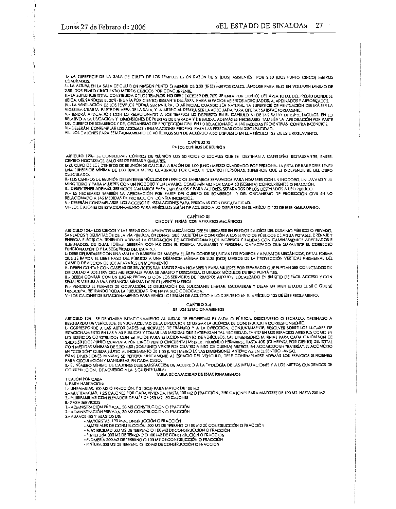I .- LA SUPERFICIE DE LA SALA DE CULTO DE LOS TEMPLOS ES EN RAZÓN DE 2 (DOS) ASISTENTES POR 2,50 (DOS PUNTO CINCO) METROS **CUADRADOS** 

II. LA ALTURA EN LA SALA DE CULTO EN NINGÚN PUNTO ES MENOR DE 3,00 (TRES) METROS CALCULÁNDOSE PARA ELLO UN VOLUMEN MÍNIMO DE 2.50 IDOS PUNTO CINCUENTA) METROS CÚBICOS POR CONCURRENTE.

III. - LA SUPERFICIE TOTAL CONSTRUIDA DE LOS TEMPLOS NO DEBE EXCEDER DEL 70% (SETENTA POR CIENTO) DEL ÁREA TOTAL DEL PREDIO DONDE SE UBICA, UTILIZÁNDOSE EL 30% (IREINTA POR CIENTO) RESTANTE DEL ÁREA, PARA ESPACIOS ABIERTOS ADECUADOS, AJARDINADOS Y ARBORIZADOS, UV-LA VENTILACIÓN DE LOS TEMPLOS PODRÁ SER NATURAL O ARTIFICIAL, CUANDO SEA NATURAL, LA SUPERFICIE DE VENTILACIÓN DE LOS TEMPLOS PODRÁ SER NATURAL O ARTIFICIAL, CUANDO SEA NATURAL A SUPERFICIE DE VENTILACIÓN DE ESER LA VIG

DEL CUERPO DE BOMBEROS Y DEL ORGANISMO DE PROTECCIÓN CIVIL EN LO RELACIONADO A LAS MEDIDAS PREVENTIVAS CONTRA INCENDIOS.<br>VI.- DEBERÁN CONTEMPLAR LOS ACCESOS E INSTALACIONES PROPIAS PARA LAS PERSONAS CON DISCAPACIDAD.

VII. LOS CAJONES PARA ESTACIONAMIENTO DE VEHÍCULOS SON DE ACUERDO A LO DISPUESTO EN EL ARTÍCULO 125 DE ESTE REGLAMENTO.

#### CAPÍTULO XI DE LOS CENTROS DE REUNIÓN

ARTÍCULO 123.- SE CONSIDERAN CENTROS DE REUNIÓN LOS EDIFICIOS O LOCALES QUE SE DESTINAN A CAFETERÍAS, RESTAURANTES, BARES, CENTRO NOCTURNOS, SALONES DE FIESTAS Y SIMILARES.<br>I.- EL CUPO DE LOS CENTROS DE REUNIÓN SE CALCULA A RAZÓN DE 1,00 (UNO) METRO CUADRADO POR PERSONA, LA PISTA DE BAILE DEBE TENER

UNA SUPERFICIE MÍNIMA DE 1.00 (UNO) METRO CUADRADO POR CADA 4 (CUATRO) PERSONAS, SUPERFICIE QUE ES INDEPENDIENTE DEL CUPO CALCULADO

UNICIONALES DE REUNIÓN DEBEN TENER NÚCLEOS DE SERVICIOS SANITARIOS SEPARADOS PARA HOMBRES CON UN INODORO, UN LAVABO Y UN<br>ILI-LOS CENTROS DE REUNIÓN DEBEN TENER NÚCLEOS DE SERVICIOS SANITARIOS SEPARADOS PARA HOMBRES CON UN III.- DEBEN TENER ADEMÁS, SERVICIOS SANITARIOS PARA EMPLEADOS Y PARA ACTORES. SEPARADOS DE LOS DESTINADOS A USO PÚBLICO.

IV.- ES NECESARIO TAMBIÉN LA APROBACIÓN POR PARTE DEL CUERPO DE BOMBEROS Y DEL ORGANISMO DE PROTECCIÓN CIVIL EN LO RELACIONADO A LAS MEDIDAS DE PROTECCIÓN CONTRA INCENDIOS.<br>V.- DEBERÁN CONTEMPLARSE LOS ACCESOS E INSTALACIONES PARA PERSONAS CON DISCAPACIDAD.

VI - LOS CAJONES DE ESTACIONAMIENTO PARA VEHÍCULOS SERÁN DE ACUERDO A LO DISPUESTO EN EL ARTÍCULO 125 DE ESTE REGLAMENTO.

#### CAPITULO XII CIRCOS Y FERIAS CON APARATOS MECÁNICOS

ARTÍCULO 124.- LOS CIRCOS Y LAS FERIAS CON APARATOS MECÁNICOS DEBEN UBICARSE EN PREDIOS BALDÍOS DEL DOMINIO PÚBLICO O PRIVADO. SANEADOS Y DELIMITADOS DE LA VÍA PÚBLICA, EN ZONAS QUE FACILITEN LA CONEXIÓN A LOS SERVICIOS PÚBLICOS DE AGUA POTABLE, DRENAJE Y<br>ENERGÍA ELÉCTRICA, TENIENDO ADEMÁS LA OBLIGACIÓN DE ACONDICIONAR LOS INGRESOS Y SALIDAS CON C ILUMINADOS, DE IGUAL FORMA DEBERÁN CONTAR CON EL EQUIPO, MOBILIARIO Y PERSONAL CAPACITADO QUE GARANTICE EL CORRECTO FUNCIONAMIENTO Y LA SEGURIDAD DEL USUARIO.

L- DEBE DELIMITARSE CON UNA MALLA O BARRERA DE MADERA EL ÁREA DONDE SE UBICAN LOS EQUIPOS Y APARATOS MECÁNICOS, DE TAL FORMA QUE SE IMPIDA EL LIBRE PASO DEL PÚBLICO A UNA DISTANCIA MÍNIMA DE 2.00 (DOS) METROS DE LA PROYECCIÓN VERTICAL PERIMETRAL DEL CAMPO DE ACCIÓN DE LOS APARATOS EN MOVIMIENTO.

II.- DEBEN CONTAR CON CASETAS DE SERVICIOS SANITARIOS PARA HOMBRES Y PARA MUJERES POR SEPARADO QUE PUEDAN SER CONECTADOS SIN<br>DIFICULTAD A LOS SERVICIOS MUNICIPALES PARA SU ABASTO Y DESCARGA, O UTILIZAR MÓDULOS DE TIPO PORT

III.- DEBEN CONTAR CON UN LUGAR PROVISTO CON LOS SERVICIOS DE PRIMEROS AUXILIOS, LOCAUZADO EN UN SITIO DE FÁCIL ACCESO Y CON SEÑALES VISIBLES A UNA DISTANCIA MÍNIMA DE 20.00 (VEINTE) METROS.

IV.- VENCIDO EL PERMISO DE OCUPACIÓN, ES OBLIGACIÓN DEL SOLICITANTE LIMPIAR, ESCOMBRAR Y DEJAR EN BUEN ESTADO EL SITIO QUE SE<br>DESOCUPA, RETIRANDO TODA LA PUBLICIDAD QUE HAYA SIDO COLOCADA.

V. LOS CAJONES DE ESTACIONAMIENTO PARA VEHÍCULOS SERÁN DE ACUERDO A LO DISPUESTO EN EL ARTÍCULO 125 DE ESTE REGLAMENTO.

# CAPÍTULO XIII

## DE LOS ESTACIONAMIENTOS

artículo 125.- se denomina estacionamiento al lugar de propiedad privada o pública, descubierto o techado, destinado a<br>Resguardo de Vehículos, siendo facultad de la direccion otorgar la licencia de construcción correspondi

I .- CORRESPONDE A LAS AUTORIDADES MUNICIPALES DE TRÁNSITO Y A LA DIRECCION, CONJUNTAMENTE, RESOLVER SOBRE LOS LUGARES DE ESTACIONAMIENTO EN LAS VÍAS PÚBLICAS Y TOMAR LAS MEDIDAS QUE SATISFAGAN TAL NECESIDAD. TANTO EN LOS ESPACIOS ABIERTOS COMO EN LOS EDIFICIOS CONSTRUIDOS CON ESPACIOS PARA ESTACIONAMIENTO DE VEHÍCULOS, LAS DIMENSIONES MÍNIMAS PARA CADA CAJÓN SON DE<br>2.40X5.50 IDOS PUNTO CUARENTA POR CINCO PUNTO CINCUENTAJ METROS, PUDIENDO PERMITIRSE HASTA 40% (CUARE CON MEDIDAS MINIMAS DE 2.20X4.50 (DOS PUNTO VEINTE POR CUATRO PUNTO CINCUENTA) METROS, EN ACOMODO EN "BATERÍA", EL ACOMODO EN "CORDÓN" QUEDA SULTIO AL INCREMENTO DE 1.00 (UNO) METRO DE LAS DIMENSIONES ANTERIORES EN EL SENTIDO LARGO.<br>ESTAS DIMENSIONES MÍNIMAS SE REFIEREN ÚNICAMENTE AL ESPACIO DEL VEHÍCULO, DEBE CONTEMPLARSE ADEMÁS LOS ESPACIOS

II - EL NÚMERO MÍNIMO DE CAJONES DEBE SATISFACERSE DE ACUERDO A LA TIPOLOGÍA DE LAS INSTALACIONES Y A LOS METROS CUADRADOS DE

CONSTRUCCIÓN, DE ACUERDO A LA SIGUIENTE TABLA:<br>TABLA DE CAPACIDAD DE ESTACIONAMIENTOS

1 CAJÓN POR CADA

**I .- PARA HABITACIÓN** 

**IL- PARA SERVICIOS** 

1.- ADMINISTRACIÓN PÚBLICA., 30 M2 CONSTRUCCIÓN O FRACCIÓN<br>2.- ADMINISTRACIÓN PRIVADA, 30 M2 CONSTRUCCIÓN O FRACCIÓN

3.- ALMACENES Y ABASTOS DE:

- MAYORISTAS, 120 M2 CONSTRUCCIÓN O FRACCIÓN

- -MATERIALES DE CONSTRUCCIÓN, 300 M2 DE TERRENO O 100 M2 DE CONSTRUCCIÓN O FRACCIÓN<br>- ELECTRICIDAD 300 M2 DE TERRENO O 100 M2 DE CONSTRUCCIÓN O FRACCIÓN
- 
- FERRETERÍA 300 M2 DE TERRENO O 100 M2 DE CONSTRUCCIÓN O FRACCIÓN
- PLOMERÍA 300 M2 DE TERRENO O 100 M2 DE CONSTRUCCIÓN O FRACCIÓN
- PINTURA 300 M2 DE TERRENO O 100 M2 DE CONSTRUCCIÓN O FRACCIÓN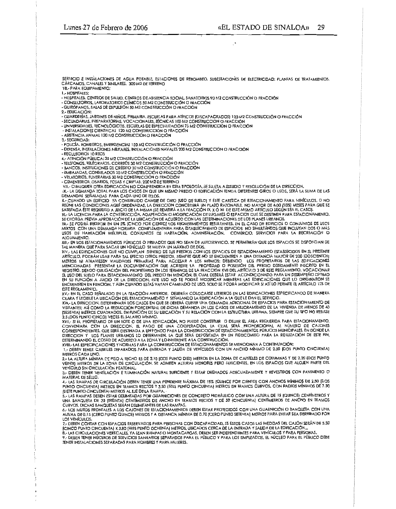SERVICIO E INSTALACIONES DE AGUA POTABLE. ESTACIONES DE REBOMBEO, SUBESTACIONES DE ELECTRICIDAD: PLANTAS DE TRATAMIENTOS. CÁRCAMOS, CANALES Y SIMILARES, 300 M2 DE TERRENO

VII.- PARA EQUIPAMIENTO: **L-HOSPITALES:** 

2 - FDUCACIÓN:

- GUARDERÍAS, JARDINES DE NIÑOS, PRIMARIA, ESCUELAS PARA ATÍPICOS (DISCAPACITADOS) 120 M2 CONSTRUCCIÓN O FRACCIÓN<br>- SECUNDARIAS, PREPARATORIAS, VOCACIONALES, TÉCNICAS 100 M2 CONSTRUCCIÓN O FRACCIÓN

- UNIVERSIDADES, TECNOLÓGICOS, ESCUELAS DE ESPECIALIZACIÓN 75 M2 CONSTRUCCIÓN O FRACCIÓN

- INSTALACIONES CIENTÍFICAS 120 M2 CONSTRUCCIÓN O FRACCIÓN<br>- INSTALACIONES CIENTÍFICAS 120 M2 CONSTRUCCIÓN O FRACCIÓN

3 .- SEGURIDAD:

- POLICÍA, BOMBEROS, EMERGENCIAS 150 M2 CONSTRUCCIÓN O FRACCIÓN

- DEFENSA, INSTALACIONES MILITARES, INSTALACIONES NAVALES 200 M2 CONSTRUCCION O FRACCIÓN

 $-$  RECUISORIOS 10 REOS

4.- ATENCIÓN PÚBLICA: 30 M2 CONSIRUCCIÓN O FRACCIÓN

- TELEFONOS, TELÉGRAFOS, CORREOS 30 M2 CONSTRUCCIÓN O FRACCIÓN

- BANCOS, INSTITUCIONES DE CRÉDITO 30 M2 CONSTRUCCIÓN O FRACCIÓN<br>- EMBAJADAS, CONSULADOS 30 M2 CONSTRUCCIÓN O FRACCIÓN

- VELATORIOS, FUNERARIAS 30 M2 CONSTRUCCIÓN O FRACCIÓN

- CEMENTERIOS, OSARIOS, FOSAS Y CRIPTAS, 200 M2 DE TERRENO

VIII.- CUALQUIER D'IRA EDIFICACIÓN NO COMPRENDIDA EN ESTA TIPOLOGÍA, SE SUJETA A ESTUDIO Y RESOLUCIÓN DE LA DIRECCION.<br>IX.- LA DEMANDA TOTAL PARA LOS CASOS EN QUE UN MISMO PREDIO O EDIFICACIÓN TENGA DIFERENTES GIROS O USOS DEMANDAS SEÑALADAS PARA CADA UNO DE ELLOS.

X .- CUANDO UN EDIFICIO YA CONSTRUIDO CAMBIE DE GIRO (USO DE SUELO) Y ESTE CAREZCA DE ESTACIONAMIENTO PARA VEHÍCULOS, O NO REÚNE LAS CONDICIONES AQUÍ ORDENADAS, LA DIRECCION CONCEDERÁ UN PLAZO RAZONABLE, NO MAYOR DE 6.00 (SEIS) MESES PARA QUE SE<br>SATISFAGA ÉSTE REQUISITO A JUICIO DE LA MISMA (SE REMITIRÁ A LA FRACCIÓN IX, X Ó XII DE ESTE MISMO

XI - LA LICENCIA PARA LA CONSTRUCCIÓN, ADAPTACIÓN O MODIFICACIÓN DE LUGARES O ESPACIOS QUE SE DESTINEN PARA ESTACIONAMIENTO,

SE DIORGA PREVIA APROBACIÓN DE LA UBICACIÓN DE ACUERDO CON LAS DETERMINACIONES DE LOS PLANES URBANOS.<br>XII,- SE PODRÁ REDUCIR EN UN 5% (CINCO POR CIENTO) LOS REQUERIMIENTOS RESULTANTES, EN EL CASO DE EDIFICIOS O CONJUNTOS D USOS DE HABITACIÓN MÚLTIPLES, CONJUNTOS DE HABITACIÓN, ADMINISTRACIÓN, COMERCIO, SERVICIOS PARA LA RECREACIÓN O ALOJAMIENTO.

XIII.- EN LOS ESTACIONAMIENTOS PÚBLICOS O PRIVADOS QUE NO SEAN DE AUTOSERVICIO, SE PERMITRÁN QUE LOS ESPACIOS SE DISPONGAN DE<br>TAL MANERA QUE PARA SACAR UN VEHÍCULO SE MUEVA UN MÁXIMO DE DOS.

XIV.- LAS EDIFICACIONES QUE NO CUMPLAN DENIRO DE SUS PREDIOS CON LOS ESPACIOS DE ESTACIONAMIENTO ESTABLECIDOS EN EL PRESENTE ARTÍCULO, PODRÁN USAR PARA TAL EFECTO OTROS PREDIOS, SIEMPRE QUE NO SE ENCUENTREN A UNA DISTANCIA MAYOR DE 200 (DOSCIENTOS) ARTICOLOGY POLATION WORK FARM AND TREATIONS TRANSPORT ON THE MANUSCRIPT OF THE USO TROFIETARIOS DE LAS EDIFICACIONES<br>MEROS NI ATRAVIESEN VIAUDADES PRIMARIAS PARA ACCESAR A LOS MISMOS; DEBIENDO LOS PROPIETARIOS DE LAS EDIFI **ESTE REGI AMENTO.** 

UN EN EL CASO SEÑALADO EN LA FRACCIÓN ANTERIOR, DEBERÁN COLOCARSE LETREROS EN LAS EDIFICACIONES ESPECIFICANDO DE MANERA<br>CLARA Y LEGIBLE LA UBICACIÓN DEL ESTACIONAMIENTO Y SEÑALANDO LA EDIFICACIÓN A LA QUE LE DAN EL SERVICI

SUNNI PRECCION, DETERMINARÁ LOS CASOS EN QUE SE DERERÁ CUBRIR UNA DEMANDA ADICIDNAL DE ESPACIOS PARA ESTACIONAMIENTO DE VISITANTES; ASÍ COMO LA REDUCCIÓN PORCENTUAL DE DICHA DEMANDA EN LOS CASOS DE MEJORAMIENTO DE LA VIVIENDA DE MENOS DE 60 VIENNIA METROS CUADRADOS. EN FUNCIÓN DE SU UBICACIÓN Y SU RELACIÓN CON LA ESTRUCTURA URBANA, SIEMPRE QUE SU TIPO NO REBASE<br>2.5 (DOS PUNTO CINCO) VECES EL SALARIO MÍNIMO.<br>XVII.- SI EL PROPIETARIO DE UN LOTE O DE UNA EDIFICA

A CONVENIARA CON LA DIRECCIÓN, EL PAGO DE UNA CODPERACIÓN, LA CUAL SERÁ PROPORCIÓNAL AL NÚMERO DE CAJONES<br>CORRESPONDIENTES, QUE SERÁ DESTINADA A UN FONDO PARA LA CONSTRUCCIÓN DE ESTACIONAMIENTOS PÚBLICOS MUNICIPALES, EN DO DETERMINANDO EL COSTO DE ACUERDO A LA ZONA Y LO INHERENTE A LA CONSTRUCCIÓN.

XVIII.- LAS ESPECIFICACIONES Y NORMAS PARA LA CONSTRUCCIÓN DE ESTACIONAMIENTOS SE MENCIONAN A CONTINUACIÓN:

1 .- DEBEN TENER CARRILES SEPARADOS PARA ENTRADA Y SALIDA DE VEHÍCULOS CON UN ANCHO MÍNIMO DE 2.50 IDOS PUNTO CINCUENTA) METROS CADA LINO.

ALLING SUNDA MINIMA DE PISO A TECHO ES DE 2.10 (DOS PUNTO DIEZ) METROS EN LA ZONA DE CAPITELES DE COLUMNAS Y DE 2.20 (DOS PUNTO VEINTE) METROS EN LA ZONA DE CIRCULACIÓN. SE ADMITEN ALTURAS MENORES PERO SUFICIENTES, EN LOS ESPACIOS QUE ALOJEN PARTE DEL VEHICULO SIN CIRCULACIÓN PEATONAL<br>3.- DEBEN TENER VENTILACIÓN PEATONAL

MATERIAL DE SELLO.

(SIETE PUNTO CINCUENTA) METROS AL EJE DE LA RAMPA.

5.- LAS RAMPAS DEBEN ESTAR DELIMITADAS POR GUARNICIONES DE CONCRETO HIDRÁULICO CON UNA ALTURA DE 15 (QUINCE) CENTÍMETROS Y UNA BANQUETA DE 30 [TREINTA] CENTÍMETROS DE ANCHO EN TRAMOS RECTOS Y DE 50 (CINCUENTA) CENTÍMETROS DE ANCHO EN TRAMOS

CURVOS, DICHAS BANQUETAS SERÁN DELIMITANTES DE LAS RAMPAS.<br>6.- LOS MUROS FRONTALES A LOS CAJONES DE ESTACIONAMIENTOS DEBEN ESTAR PROTEGIDOS CON UNA GUARNICIÓN O BANQUETA CON UNA ALTURA DE 0.15 (CERO PUNTO QUINCE) METROS Y A DISTANCIA MÍNIMA DE 0.70 (CERO PUNTO SETENTA) METROS PARA EVITAR SEA DERRIBADO POR LOS VEHICULOS

ICINCO PUNTO CINCUENTAI X 3.80 ITRES PUNTO OCHENTAI METROS, UBICADOS CERCA DE LA ENTRADA Y SALIDA DE LA EDIFICACIÓN...

B.- LAS CIRCULACIONES VERTICALES, YA SEAN RAMPAS O MONTACARGAS, DEBEN SER INDEPENDIENTES PARA VEHÍCULOS Y PARA PERSONAS, 9. DEBEN TENER NÜCLEOS DE SERVICIOS SANITARIOS SEPARADOS PARA EL PÚBLICO Y PARA LOS EMPLEADOS. EL NÚCLEO PARA EL PÚBLICO DEBE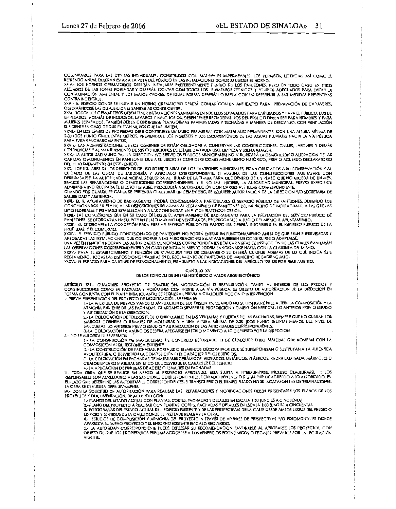COLUMBARIOS PARA LAS CENIZAS INDIVIDUALES, CONSTRUIDOS CON MATERIALES IMPERMEABLES. LOS PERMISOS, LICENCIAS ASÍ COMO EL REFRENDO ANUAL DEBERÁN ESTAR A LA VISTA DEL PÚBLICO EN LAS INSTALACIONES DONDE SE UBIOUE EL HORNO.

XXIV.- LOS HORNOS CREMATORIOS DEBERÁN INSTALARSE PREFERENTEMENTE DENTRO DE LOS PANTEONES, PERO EN TODO CASO EN SITIOS CONTAMINACIÓN AMBIENTAL Y LOS MALOS OLORES, DE IGUAL FORMA DEBERÁN CUMPLIR CON LO REFERENTE A LAS MEDIDAS PREVENTIVAS **CONTRA INCENDIOS** 

XXV.- EL EDIFICIO DONDE SE INSTALE UN HORNO CREMATORIO DEBERÁ CONTAR CON UN ANFITEATRO PARA PREPARACIÓN DE CADÁVERES, OBSERVÁNDOSE LAS DISPOSICIONES SANITARIAS CONDUCENTES.

SANTA HODOS LOS CEMENTERIOS DEBEN TENER INSTALACIONES SANITARIAS EN NÚCLEOS SEPARADOS PARA EMPLEADOS Y PARA EL PÚBLICO. LOS DE<br>EMPLEADOS, ADEMÁS DE INODOROS, LAVABOS Y MINGITORIOS, DEBEN TENER REGADERAS. LOS DEL PÚBLICO DE MUJERES SEPARADOS. TAMBIÉN DEBEN CONSTRUIRSE PLATAFORMAS PAVIMENTADAS Y TECHADAS A MANERA DE DESCANSO, CON VENTLACIÓN

SUFICIENTE EN CASO DE QUE EXISTAN MUROS QUE LAS LIMITEN.<br>XXVII.- EN LOS LÍMITES DE PROPIEDAD DEBE CONSTRUIRSE UN MURO PERIMETRAL CON MATERIALES PERMANENTES, CON UNA ALTURA MÍNIMA DE<br>2.50 (DOS PUNTO CINCUENTA) METROS, PREVI PARA EVITAR ENCHARCAMIENTOS.

raka eyilink enchakcamırmıcı.<br>XXVIII.- LAS ADMINISTACIONES DE LOS CEMENTERIOS ESTÁN OBUGADAS A CONSERVAR LAS CONSTRUCCIONES, CALLES, JARDINES Y DEMÁS<br>PERTENENCIAS Y AL MANTENIMIENTO DE SUS CONDICIONES DE ESTABILIDAD BUEN U

XXIX.- LA AUTORIDAD MUNICIPAL (LA DIRECCION Y/O SERVICIOS PÚBLICOS MUNICIPALES) NO AUTORIZARÁ LA DEMOLICIÓN O ALTERACIÓN DE LAS CAPILLAS O MONUMENTOS EN PANTEONES OUE A SU JUICIO SE CONSIDERE COMO MONUMENTO HISTÓRICO, PREVIO ACUERDO DECLARATORIO DEL H. AYUNTAMIENTO EN ESTE SENTIDO.

XXX. LOS TITULARES DE LOS DERECHOS DE USO SOBRE TUMBAS DE LOS PANTEONES MUNICIPALES, ESTÁN OBLIGADOS A SU CONSERVACIÓN Y AL ARROR DE LAS DERRAS DE JARDINERÍA Y ARBOLADO CORRESPONDIENTE. SI ALGUNA DE LAS CONSTRUCCIONES AMENAZIARE CON<br>DERRUMBARSE, LA AUTORIDAD MUNICIPAL REQUERIRÁ AL TITULAR DE LA TUMBA PARA QUE DENTRO DE UN PLAZO QUE NO EXCEDA DE

CUANDO POR CUALQUIER CAUSA SE PRETENDA CLAUSURAR UN CEMENTERIO, SE REQUIERE AUTORIZACIÓN DE LA DIRECCION Y/O SECRETARIA DE **SALUBRIDAD Y ASISTENCIA** 

XXXI.- EL H. AYUNTAMIENTO DE BADIRAGUATO PODRÁ CONCESIONAR A PARTICULARES EL SERVICIO PÚBLICO DE PANTEONES, DEBIENDO LOS CONCESIONARIOS SUJETARSE A LAS DISPOSICIONES RELATIVAS AL REGLAMENTO DE PANTEONES DEL MUNICIPIO DE BADIRAGUATO, A LAS QUE LAS LEYES FEDERALES Y ESTATALES ESTABLEZCAN Y A LAS CONTENIDAS EN EL CONTRATO-CONCESIÓN.

XXXII.- LAS CONCESIONES QUE EN SU CASO OTORGUE EL AYUNTAMIENTO DE BADIRAGUATO PARA LA PRESTACIÓN DEL SERVICIO PÚBLICO DE PANTEONES, SE OTORGARÁN HASTA POR UN PLAZO MÁXIMO DE VENTE AÑOS, PRORROGABLES A JUICIO DEL MISMO H. AYUNTAMIENTO.

XXXIII.- AL OTORGARSE LA CONCESIÓN PARA PRESTAR SERVICIO PÚBLICO DE PANTEONES, DEBERÁ INSCRIBIRSE EN EL REGISTRO PÚBLICO DE LA PROPIEDAD Y EL COMERCIO.

XXXIV.- EL SERVICIO PÚBLICO CONCESIONADO DE PANTEONES NO PODRÁ ENTRAR EN FUNCIONAMIENTO ANTES DE QUE SEAN SUPERVISADAS Y<br>APROBADAS LAS INSTALACIONES, QUE CONFORME A LAS AUTORIZACIONES RELATIVAS HUBIEREN DE CONSTRUIRSE O AD

UNA VEZ EN FUNCIÓN PODRÁN LAS AUTORIDADES MUNICIPALES CORRESPONDENTES REALIZAR VISITAS DE INSPECCIÓN DE LAS CUALES EMANARÁN LAS OBSERVACIONES CORRESPONDIENTES Y EN CASO DE INCLUAPLIMENTO PODRÍA SANCIONARSE HASTA CON LA CLAUSIURA DEL MISMO.<br>XXXV.- PARA EL ESTABLECIMIENTO Y FUNCIÓN DE CUALOUIER TIPO DE CEMENTERIO SE DEBERÁ CUMPLIR ADEMÁS DE LO QU

XXXVI,- EL ESPACIO PARA CAJONES DE ESTACIONAMIENTO, ESTÁ SUJETO A LAS INDICACIONES DEL ARTÍCULO 125 DE ESTE REGLAMENTO.

# CAPÍTULO XV<br>DE LOS EDIFICIOS DE INTERÉS HISTÓRICO O VALOR ARQUITECTÓNICO

ARTÍCULO 127.- CUALQUIER PROYECTO DE DEMOLICIÓN, MODIFICACIÓN O RESTAURACIÓN, TANTO AL INTERIOR DE LOS PREDIOS Y<br>CONSTRUCCIONES COMO EN FACHADA Y VOLÚMENES CON FRENTE A LA VÍA PÚBLICA, ES OBJETO DE AUTORIZACIÓN DE LA DIREC FORMA CONJUNTA CON EL INAH Y INBA (CUANDO SE REQUIERA), PREVIA A CUALQUIER ACCIÓN O INTERVENCIÓN I. PREVIA PRESENTACIÓN DEL PROYECTO DE MODIFICACIÓN, SE PERMITE:

. NEINTROINEN DE NOTRE DE LA TROUDINATION DE LOS EXISTENTES, CUANDO NO SE DESFIGURE NI SE ALTERE LA COMPOSICIÓN Y LA<br>ARMONÍA EXISTENTE DE LAS FACHADAS, GUARDANDO SIEMPRE SU PROPORCIÓN Y DIMENSIÓN VERTICAL. LO ANTERIOR PREV Y AUTORIZACIÓN DE LA DIRECCION.

7. VOCUMENT DE TOLOGIS FUORO E BROLLABLES EN LAS VENTANAS Y PUERTAS DE LAS FACHADAS, SIEMPRE QUE NO CUBRAN LOS<br>MARCOS CORNISAS O REMATES DE MOLDURAS Y A UNA ALTURA MÍNIMA DE 2.30 (DOS PUNTO TREINTA) METROS DEL NIVEL DE<br>BAN

3.-LA COLOCACIÓN DE ANÚNCIOS DEBERÁ APEGARSE EN TODO MOMENTO A LO DISPUESTO POR LA DIRECCION.

II. NO SE AUTORIZA NI SE PERMITE:

1- LA CONSTRUCCIÓN DE MARQUESINAS DE CONCRETO REFORZADO O DE CUALQUIER OTRO MATERIAL QUE ROMPAN CON LA COMPOSICIÓN ARQUITECTÓNICA EXISTENTE.

2- LA CONSTRUCCIÓN DE FACHADAS, PORTALES O ELEMENTOS DECORATIVOS QUE SE SUPERPONGAN O SUSTITUYAN A LA AUTENTICA AROUITECTURA, O DESVIRTÚEN LA COMPOSICIÓN O EL CARÁCTER DE LOS EDIFICIOS.<br>3.- LA COLOCACIÓN EN FACHADAS DE MATERIALES CERÁMICOS, VIDRIADOS, METÁLICOS, PLÁSTICOS, PIEDRA LAMINADA, MÁRMOLES O

CUALQUIER OTRO MATERIAL SINTÉTICO QUE DESVIRTÚE EL CARÁCTER DEL EDIFICIO

CONCORRENT UNIVERSITY OF THE RESERVE OF THE RESERVE OF THE RESERVE OF THE RESERVE OF THE RESERVE OF THE RESERVE OF THE RESERVE OF THE RESERVE OF THE RESERVE OF THE RESERVE OF THE RESERVE OF THE RESERVE OF THE RESERVE OF TH EL PLAZO QUE DETERMINE LAS AUTORIDADES CORRESPONDIENTES. SI TRANSCURRIDO EL TIEMPO FIJADO NO SE ACATARON LAS DETERMINACIONES, LA OBRA SE CLAUSURA DEFINITIVAMENTE.<br>IV.- CON LA SOLICITUD DE AUTORIZACIÓN PARA REALIZAR LAS REPARACIONES Y MODIFICACIONES DEBEN PRESENTARSE LOS PLANOS DE LOS

PROYECTOS Y DOCUMENTACIÓN, DE ACUERDO CON:

1.- PLANOS DEL ESTADO ACTUAL CON PLANTAS, CORTES, FACHADAS Y DETALLES EN ESCALA 1:50 (UNO ES A CINCUENTA)

2.- PLANO DEL PROYECTO A REALIZAR CON PLANTAS, CORTES, FACHADAS Y DETALLES EN ESCALA 1:50 (UNO ES A CINCUENTA).<br>3.- FOTOGRAFÍAS DEL ESTADO ACTUAL DEL EDIFICIO EXISTENTE Y DE LAS PERSPECTIVAS DE LA CALLE DESDE AMBOS LADOS D

EDIFICIO Y SENTIDOS DE LA CALLE DONDE SE PRETENDE REALIZAR LA OBRA.

4.- ESTUDIOS DE COMPOSICIÓN Y ARMONÍA DEL PROYECTO A TRAVÉS DE APUNTES DE PERSPECTIVAS Y/O FOTOMONTAJES DONDE<br>APAREZCA EL NUEVO PROYECTO Y EL ENTORNO EXISTENTE EN CASO REOUERIDO.

5.- LA AUTORIDAD CORRESPONDIENTE PUEDE EXPRESAR SU RECOMENDACIÓN FAVORABLE AL APROBARSE LOS PROYECTOS, CON OBJETO DE QUE LOS PROPIETARIOS PUEDAN ACOGERSE A LOS BENEFICIOS ECONÓMICOS O FISCALES PREVISTOS POR LA LEGISLACIÓN **VIGENTE**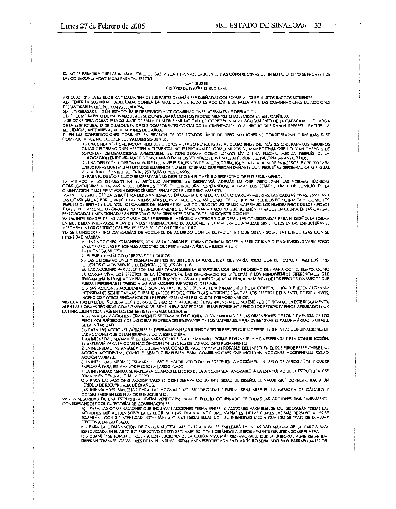IX- NO SE PERMITIRÁ OUE LAS INSTALACIONES DE GAS, AGUA Y DRENAJE CRUCEN JUNTAS CONSTRUCTIVAS DE UN EDIFICIO, SI NO SE PROVEEN DE LAS CONEXIONES ADECUADAS PARA TAL EFECTO.

#### **CAPÍTULO III** CRITERIO DE DISEÑO ESTRUCTURAL

ARTÍCULO 131.- LA ESTRUCTURA Y CADA UNA DE SUS PARTES DEBERÁN SER DISEÑADAS CONFORME A LOS REOUISITOS BÁSICOS SIGUIENTES: A).- TENER LA SEGURIDAD ADECUADA CONTRA LA APARICIÓN DE TODO ESTADO LÍMITE DE FALLA ANTE LAS COMBINACIONES DE ACCIONES DESFAVORABLES QUE PUEDAN PRESENTARSE.<br>BJ.- NO REBASAR NINGÚN ESTADO LÍMITE DE SERVICIO ANTE COMBINACIONES NORMALES DE OPERACIÓN.

I. SE CONSIDERA COMO ESTADO LÍMITE DE FALLA CUALQUIER SITUACIÓN QUE CORRESPONDA AL AGOTAMIENTO DE LA CAPACIDAD DE CARGA<br>1. SE CONSIDERA COMO ESTADO LÍMITE DE FALLA CUALQUIER SITUACIÓN QUE CORRESPONDA AL AGOTAMIENTO DE LA C DE LA ÉSTRUCTURA, O DE CUALQUIERA DE SUS COMPONENTES CONTANDO LA CIMENTACIÓN; O AL HECHO QUE DAÑEN IRREVERSIBLEMENTE LAS<br>RESISTENCIAS ANTE NUEVAS APLICACIONES DE CARGA.

II.- EN LAS CONSTRUCCIONES COMUNES, LA REVISIÓN DE LOS ESTADOS LÍMITE DE DEFORMACIONES SE CONSIDERARÁN CUMPLIDAS SI SE COMPRUEBA QUE NO EXCEDEN LOS VALORES SIGUIENTES:

1.- UNA LINEA VERTICAL, INCLUYENDO LOS EFECTOS A LARGO PLAZO, IGUAL AL CLARO ENTRE 240, MÁS D.5 CMS, PARA LOS MIEMBROS CUYAS DEFORMACIONES AFECTEN A ELEMENTOS NO ESTRUCTURALES, COMO MUROS DE MAMPOSTERÍA QUE NO SEAN CAPACES DE SOPORTAR DEFORMACIONES APRECIABLES, SE CONSIDERARÁ COMO ESTADO LÍMITE UNA FLECHA, MEDIDA DESPUÉS DE LA COLOCACIÓN ENTRE 480, MÁS D.3 CMS. PARA ELEMENTOS VOLADIZOS LOS UMITES ANTERIORES SE MULTIPLICARÁN POR DOS.

2.- UNA DEFLEXIÓN HORIZONTAL ENTRE DOS NIVELES SUCESIVOS DE LA ESTRUCTURA, IGUAL A LA ALTURA DE ENTREPISOS, ENTRE 500 PARA<br>ESTRUCTURAS QUE TENGAN LIGADOS ELEMENTOS NO ESTRUCTURALES QUE PUEDAN DAÑARSE CON PEQUEÑAS DEFORMACI A LA ALTURA DE ENTREPISO, ENTRE 250 PARA OTROS CASOS.

3. PARA EL DISEÑO SÍSMICO SE OBSERVARÁ LO DISPUESTO EN EL CAPÍTULO RESPECTIVO DE ESTE REGLAMENTO.

III. AUNADO A LO DISPUESTO EN EL ARTÍCULO ANTERIOR, SE OBSERVARÁ ADEMÁS LO QUE DISPONGAN LAS NORMAS TÉCNICAS<br>COMPLEMENTARIAS RELATIVAS A LOS DISTINTOS TIPOS DE ESTRUCIURA RESPETÁNDOSE ADEMÁS LOS ESTADOS LÍMITE DE SERVICIO CIMENTACIÓN, Y LOS RELATIVOS A DISEÑO SÍSMICO, SENALADOS EN ESTE REGLAMENTO.

IV.- EN EL DISEÑO DE TODA ESTRUCTURA DEBERÁN TOMARSE EN CUENTA LOS EFECTOS DE LAS CARGAS MUERTAS, LAS CARGAS VIVAS, SÍSMICAS Y<br>LAS OCASIONADAS POR EL VIENTO, LAS INTENSIDADES DE ESTAS ACCIONES, ASÍ COMO LOS EFECTOS PRODUCI EMPUJES DE TIERRAS Y LIQUIDOS, LOS CAMBIOS DE TEMPERATURA, LAS CONTRACCIONES DE LOS MATERIALES, LOS HUNDIMIENTOS DE LOS APOYOS Y LAS SOLICITACIONES ORIGINADAS POR EL FUNCIONAMIENTO DE MAQUINARIA Y EQUIPO QUE NO ESTÉN TOMADOS EN CUENTA EN LAS CARGAS ESPECIFICADAS Y MENCIONADAS EN ESTE TÍTULO PARA DIFERENTES DESTINOS DE LAS CONSTRUCCIONES.<br>V.- LAS INTENSIDADES DE LAS ACCIONES A QUE SE REFIERE EL ARTÍCULO ANTERIOR Y QUE DEBEN SER CONSIDERADAS PARA EL DISEÑO, LA FORMA

EN QUE DEBAN INTEGRARSE A LAS DISTINTAS COMBINACIONES DE ACCIONES Y LA MANERA DE ANALIZAR SUS EFECTOS EN LAS ESTRUCTURAS SE APEGARÁN A LOS CRITERIOS GENERALES ESTABLECIDOS EN ESTE CAPÍTULO.

VI.- SE CONSIDERAN TRES CATEGORÍAS DE ACCIONES, DE ACUERDO CON LA DURACIÓN EN QUE OBRAN SOBRE LAS ESTRUCTURAS CON SU INTENSIDAD MÁXIMA:

A). LAS ACCIONES PERMANENTES, SON LAS QUE OBRAN EN FORMA CONTINÚA SOBRE LA ESTRUCTURA Y CUYA INTENSIDAD VARÍA POCO EN EL TIEMPO. LAS PRINCIPALES ACCIONES QUE PERTENECEN A ÉSTA CATEGORÍA SON:

**L-LA CARGA MUERTA** 

2 .- EL EMPUJE ESTÁTICO DE TIERRA Y DE LÍQUIDOS

3.- LAS DEFORMACIONES Y DESPLAZAMIENTOS IMPUESTOS A LA ESTRUCTURA QUE VARÍA POCO CON EL TIEMPO, COMO LOS PRE-ESFUERZOS O MOVIMIENTOS DIFERENCIALES DE LOS APOYOS.

B) .- LAS ACCIONES VARIABLES, SON LAS QUE OBRAN SOBRE LA ESTRUCTURA CON UNA INTENSIDAD QUE VARÍA CON EL TIEMPO, COMO LA CARGA VIVA, LOS EFECTOS DE LA TEMPERATURA, LAS DEFORMACIONES IMPUESTAS Y LOS HUNDIMIENTOS DIFERENCIALES QUE TENGAN UNA INTENSIDAD VARIABLE CON EL TIEMPO; Y LAS ACCIONES DEBIDAS AL FUNCIONAMIENTO DE LOS EFECTOS DINÁMICOS QUE

- ELECTRICAL MESSING DE DE LAS VARIACIONES, IMPACTO O DRENAJE.<br>CJ.- LAS ACCIONES ACCIDENTALES, SON LAS QUE NO SE DEBEN AL FUNCIONAMIENTO DE LA CONSTRUCCIÓN Y PUEDEN ALCANZAR<br>INTENSIDADES SIGNIFICATIVAS DURANTE LAPSOS BREVE INCENDIOS Y OTROS FENÓMENOS QUE PUEDEN PRESENTARSE EN CASOS EXTRAORDINARIOS.

VII.- CUANDO EN EL DISEÑO DEBA CONSIDERARSE EL EFECTO DE ACCIONES CUYAS INTENSIDADES NO ESTÉN ESPECIFICADAS EN ESTE REGLAMENTO,<br>NI EN LAS NORMAS TÉCNICAS COMPLEMENTARIAS, ESTAS INTENSIDADES DEBEN ESTABLECERSE SIGUIENDO LOS LA DIRECCION Y CON BASE EN LOS CRITERIOS GENERALES SIGUIENTES:

...<br>A).- PARA LAS ACCIONES PERMANENTES SE TOMARÁ EN CUENTA LA VARIABIUDAD DE LAS DIMENSIONES DE LOS ELEMENTOS, DE<br>PESOS VOLUMÉTRICOS Y DE LAS OTRAS PROPIEDADES RELEVANTES DE LOS MATERIALES, PARA DETERMINAR EL VALOR MÁXIMO DE LA INTENSIDAD.

B) .- PARA LAS ACCIONES VARIABLES SE DETERMINARÁN LAS INTENSIDADES SIGUIENTES QUE CORRESPONDEN A LAS COMBINACIONES DE LAS ACCIONES QUE DEBAN REVISARSE DE LA ESTRUCTURA:<br>1.-LA INTENSIDAD MÁXIMA SE DETERMINARÁ COMO EL VALOR MÁXIMO PROBABLE DURANTE LA VIDA ESPERADA DE LA CONSTRUCCIÓN.

SE EMPLEARÁ PARA LA COMBINACIÓN CON LOS EFECTOS DE LAS ACCIONES PERMANENTES.

2-LA INTENSIDAD INSTANTÁNEA SE DETERMINARÁ COMO EL VALOR MÁXIMO PROBABLE DEL LAPSO, EN EL QUE PUEDE PRESENTARSE UNA ACCIÓN ACCIDENTAL, COMO EL SISMO Y EMPLEARA PARA COMBINACIONES QUE INCLUYAN ACCIONES ACCIDENTALES COMO ACCIÓN VARIABLE.

3-LA INTENSIDAD MEDIA SE ESTIMARÁ, COMO EL VALOR MEDIO QUE PUEDE TENER LA ACCIÓN EN UN LAPSO DE VARIOS AÑOS, Y QUE SE EMPLEARÁ PARA ESTIMAR LOS EFECTOS A LARGO PLAZO.<br>4.-LA INTENSIDAD MÍNIMA SE EMPLEARÁ CUANDO EL EFECTO DE LA ACCIÓN SEA FAVORABLE A LA ESTABILIDAD DE LA ESTRUCTURA Y SE

**IOMARÁ EN GENERAL IGUAL A CERO.** CI .- PARA LAS ACCIONES ACCIDENTALES SE CONSIDERARÁ COMO INTENSIDAD DE DISEÑO, EL VALOR QUE CORRESPONDA A UN

PERIODO DE RECURRENCIA DE 50 AÑOS.<br>LAS INTENSIDADES SUPUESTAS PARA LAS ACCIONES NO ESPECIFICADAS DEBERÁN SEÑALARSE EN LA MEMORIA DE CÁLCULO Y CONSIGNARSE EN LOS PLANOS ESTRUCTURALES.

VIII. LA SEGURIDAD DE UNA ESTRUCTURA DEBERÁ VERIFICARSE PARA EL EFECTO COMBINADO DE TODAS LAS ACCIONES SIMULTÁNEAMENTE. CONSIDERÁNDOSE DOS CATEGORÍAS DE COMBINACIONES:

A). PARA LAS COMBINACIONES QUE INCLUYAN ACCIONES PERMANENTES Y ACCIONES VARIABLES, SE CONSIDERARÁN TODAS LAS ACCIONES QUE ACTÚEN SOBRE LA ESTRUCTURA Y LAS DISTINTAS ACCIONES VARIABLES, DE LAS CUALES LAS MÁS DESFAVORABLES SE TOMARÁN CON SU INTENSIDAD INSTANTÁNEA; O BIEN TODAS ELLAS CON SU INTENSIDAD MEDIA CUANDO SE TRATE DE EVALUAR<br>EFECTOS A LARGO PLAZO.<br>BJ.- PARA LA COMBINACIÓN DE CARGA MUERTA MÁS CARGA VIVA, SE EMPLEARÁ LA INTENSIDAD MÁXIMA

ESPECIFICADA EN EL ARTÍCULO RESPECTIVO DE ESTE REGLAMENTO, CONSIDERÁNDOLA UNIFORMEMENTE REPARTIDA SOBRE EL ÁREA

C). CUANDO SE TOMEN EN CUENTA DISTRIBUCIONES DE LA CARGA VIVA MÁS DESFAVORABLE QUE LA UNIFORMEMENTE REPARTIDA, DEBERÁN TOMARSE LOS VALORES DE LA INTENSIDAD INSTANTÁNEA ESPECIFICADA EN EL ARTÍCULO SEÑALADO EN EL PÁRRAFO ANTERIOR.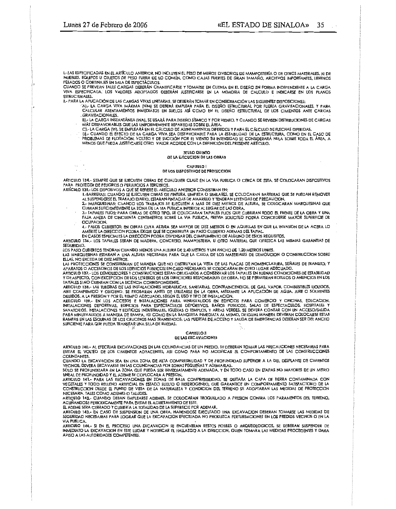$\ddot{\phantom{0}}$ 

I-LAS ESPECIFICADAS EN EL ARTÍCULO ANTERIOR, NO INCLUYEN EL PESO DE MUROS DIVISORIOS DE MAMPOSTERÍA O DE OTROS MATERIALES, NI DE MUEBLES, EQUIPOS U OBJETOS DE PESO FUERA DE LO COMÚN, COMO CAJAS FUERTES DE GRAN TAMAÑO, ARCHIVOS IMPORTANTES, LIBREROS

CUANDO SE PREVEAN TALES CARGAS DEBERÁN CUANTIFICARSE Y TOMARSE EN CUENTA EN EL DISEÑO EN FORMA INDEPENDIENTE A LA CARGA VIVA ESPECIFICADA. LOS VALORES ADOPTADOS DEBERÁN JUSTIFICARSE EN LA MEMORIA DE CALCULO E INDICARSE EN LOS PLANOS **ESTRUCTURALES** 

- II-PARA LA APUCACIÓN DE LAS CARGAS VIVAS UNITARIAS, SE DEBERÁN TOMAR EN CONSIDERACIÓN LAS SIGUIENTES DISPOSICIONES:<br>AI-PARA LA APUCACIÓN DE LAS CARGA VIVA MÁXIMA (WM) SE DEBERÁ EMPLEAR PARA EL DISEÑO ESTRUCTURAL POR FUERZA CALCULAR ASENTAMIENTOS INMEDIATOS EN SUELOS ASÍ COMO EN EL DISEÑO ESTRUCTURAL DE LOS CIMIENTOS ANTE CARGAS **GRAVITACIONALES.** 
	- BI-LA CARGA INSTANTÁNEA (WA), SE USARÁ PARA DISEÑO SÍSMICO Y POR VIENTO. Y CUANDO SE REVISEN DISTRIBUCIONES DE CARGAS<br>MÁS DESFAVORABLES QUE LAS UNIFORMEMENTE REPARTIDAS SOBRE EL ÁREA.
	- C] .- LA CARGA [W], SE EMPLEARÁ EN EL CÁLCULO DE ASENTAMIENTOS DIFERIDOS Y PARA EL CÁLCULO DE FLECHAS DIFERIDAS,
	- DI. CUANDO EL EFECTO DE LA CARGA VIVA SEA DESFAVORABILE PARA LA ESTABIUDAD DE LA ESTRUCTURA, COMO EN EL CASO DE<br>PROBLEMAS DE FLOTACIÓN, VOLTEO Y DE SUCCIÓN POR EL VIENTO SU INTENSIDAD SE CONSIDERARÁ NULA SOBRE TODA EL ÁREA

#### **TITULO QUINTO** DE LA EJECUCIÓN DE LAS OBRAS

CAPITULO I

### DE LOS DISPOSITIVOS DE PROTECCION

ARTICULO 134.- SIEMPRE QUE SE EJECUTEN OBRAS DE CUALQUIER CLASE EN LA VIA PUBLICA O CERCA DE ESTA, SE COLOCARAN DISPOSITIVOS PARA PROTEGER DE PEUGROS O PERJUICIOS A TERCEROS.

- ARTÍCULO 135 LOS DISPOSIVOS A QUE SE REFIERE EL ARTÍCULO ANTERIOR CONSISTIRAN EN:
	- 1-BARRERAS: CUANDO SE EJECUTEN OBRAS DE PINTURA, UMPIEZA O SIMILARES, SE COLOCARAN BARRERAS QUE SE PUEDAN REMOVER AL SUSPENDERSE EL TRABAJO DIARIO. ESTARAN PINTADAS DE AMARILLO Y TENDRAN LEYENDAS DE PRECAUCION.
	- 2.- MARQUESINAS: CUANDO LOS TRABAJOS SE EJECUTEN A MAS DE DIEZ METROS DE ALTURA, SE COLOCARAN MARQUESINAS QUE CUBRAN SUFICIENTEMENTE LA ZONA DE LA VIA PUBLICA INFERIOR AL LUGAR DE LAS OBRA.<br>3.- TAPIALES FIJOS: PARA OBRAS DE OTRO TIPO, SE COLOCARAN TAPIALES FIJOS QUE CUBRIRAN TODO EL FRENTE DE LA OBRA Y UNA
	- FAJA ANEXA DE CINCUENTA CENTIMETROS SOBRE LA VIA PUBLICA, PREVIA SOLICITUD PODRA CONCEDERSE MAYOR SUPERFICIE DE OCUPACION.
	- 4.- PASOS CUBIERTOS: EN OBRAS CUYA ALTURA SEA MAYOR DE DIEZ METROS O EN AQUELLAS EN QUE LA INVASION DE LA ACERA LO AMERITE LA DIRECCION PODRA EXIGIR QUE SE CONSTRUYA UN PASO CUBIERTO ADEMAS DEL TAPIAL

EN CASOS ESPECIALES LA DIRECCION PODRA DISPENSAR DEL CUMPLIMIENTO DE ALGUNO DE ESTOS REQUISITOS. ARTICULO 136,- LOS TAPIALES SERAN DE MADERA, CONCRETO, MAMPOSTERIA, U OTRO MATERIAL QUE OFREZCA LAS MISMAS GARANTIAS DE SEGURIDAD.

LOS PASO CUBIERTOS TENDRAN CUANDO MENOS UNA ALTURA DE 2.40 METROS Y UN ANCHO DE 1.20 METROS LIBRES.

LAS MARQUESINAS ESTARAN A UNA ALTURA NECESARIA PARA QUE LA CAIDA DE LOS MATERIALES DE DEMOUCION O CONSTRUCCION SOBRE FLLAS, NO EXCEDA DE DIFZ METROS.

LAS PROTECCIONES SE CONSTRUIRAN DE MANERA QUE NO OBSTRUYAN LA VISTA DE LAS PLACAS DE NOMENCLATURA, SEÑALES DE TRANSITO; Y APARATOS O ACCESORIOS DE LOS SERVICIOS PUBLICOS; EN CASO NECESARIO, SE COLOCARAN EN OTRO LUGAR ADECUADO.

ARTICULO 137.- LOS DEMOLEDORES Y CONSTRUCTORES ESTAN OBLIGADOS A CONSERVAR LOS TAPIALES EN BUENAS CONDICIONES DE ESTABLIDAD<br>Y DE ASPECTO, CON EXCEPCION DE LOS LETREROS DE LOS DIRECTORES RESPONSABLES DE OBRA. NO SE PERMITRA TAPIALES SI NO CUENTAN CON LA LICENCIA CORRESPONDIENTE.

DICIDIOS, A LA FRESION TROY EL TIEMPO ADECLANDO A SEGUN EL USO TITO DE INSINADOLO IN A COMERCIO Y OFICINAS, EDUCACION,<br>ARTICULO 13P.- EN LOS ACCESOS E INSTALACIONES PARA MINISYAUDOS EN EDIFICIOS PARA COMERCIO Y OFICINAS, E RAMPAS EN LAS ESOUINAS DE LOS CRUCEROS MAS TRANSITADOS, LAS PUERTAS DE ACCESO Y SAUDA DE EMERGENCIAS DEBERAN SER DEL ANCHO SUFICIENTE PARA QUE PUEDA TRANSITAR UNA SILLA DE RUEDAS.

#### **CAPITULO II** DE LAS EXCAVACIONES

ARTICULO 140.- AL EFECTUAR EXCAVACIONES EN LAS COLINDANCIAS DE UN PREDIO, SE DEBERAN TOMAR LAS PRECAUCIONES NECESARIAS PARA EVITAR EL VOLTEO DE LOS CIMIENTOS ADYACENTES, ASI COMO PARA NO MODIFICAR EL COMPORTAMIENTO DE LAS CONSTRUCCIONES COLINDANTES.

CUANDO LA EXCAVACION SEA EN UNA ZONA DE ALTA COMPRESIBILIDAD Y DE PROFUNDIDAD SUPERIOR A LA DEL DESPLANTE DE CIMIENTOS VECINOS, DEVERA EXCAVARSE EN LAS COLINDANCIAS POR ZONAS PEQUEÑAS Y ADEMARLAS.

SOLO SE PROFUNDIZARA EN LA ZONA QUE FUEDA SER INMEDIATAMENTE ADEMADA, Y EN TODO CASO EN ETAPAS NO MAYORES DE UN METRO UNEAL DE PROFUNDIDAD Y EL ADEME SE COPLOCARA A PRESION.<br>ARTICULO 141.- PARA LAS EXCAVACIONES EN ZONAS DE BAJA COMPRESIBILIDAD, SE QUITARA LA CAPA DE TIERRA CONTAMINADA CON

VEGETALES Y TODO RELLENO ARTIFICIAL EN ESTADO SUELTO O HETEROGENEO, QUE GARANTICE UN COMPORTAMIENTO SATISFACTORIO DE LA CONSTRUCCION DESDE EL PUNTO DE VISTA DE LA NATURALEZA Y CONDICION DEL TERRENO SE ADOPTARAN LAS MEDIDAS DE PROTECCION NECESARIA, TALES COMO ADEMES O TALUDES.

ARTICULO 142 - CUANDO DEBAN EMPLEARSE ADEMES, SE COLOCARAN TROQUELADO A PRESION CONTRA LOS PARAMENTOS DEL TERRENO, ACUÑANDOSE PERIODICAMENTE PARA EVITAR EL AGRIETAMIENTO DE ESTE.

EL ADEME SERA CERRADO Y CUBIERTA LA TOTALIDAD DE LA SUPERFICIE POR ADEMAR.

ARTICULO 143.- EN CASO DE SUSPENSION DE UNA OBRA, HABIENDOSE EJECUTADO UNA EXCAVACION DEBERAN TOMARSE LAS MEDIDAS DE SEGURIDAD NECESARIAS PARA LOGRAR QUE LA EXCAVACION EFECTUADA NO PRODUZCA PERTURBACIONES EN LOS PREDIOS VECINOS O EN LA **VIA PUBLICA.** 

ARTICULO 144.- SI EN EL PROCESO UNA EXCAVACION SE ENCUENTRAN RESTOS FOSILES O ARQUEOLOGICOS, SE DEBERAN SUSPENDER DE INMEDIATO LA EXCAVACIÓN EN ESTE LUGAR Y NOTIFICAR EL HALLAZGO A LA DIRECCIÓN, QUIEN TOMARA LAS MEDIDAS PROCEDENTES Y DARA AVISO A LAS AUTORIDADES COMPETENTES.